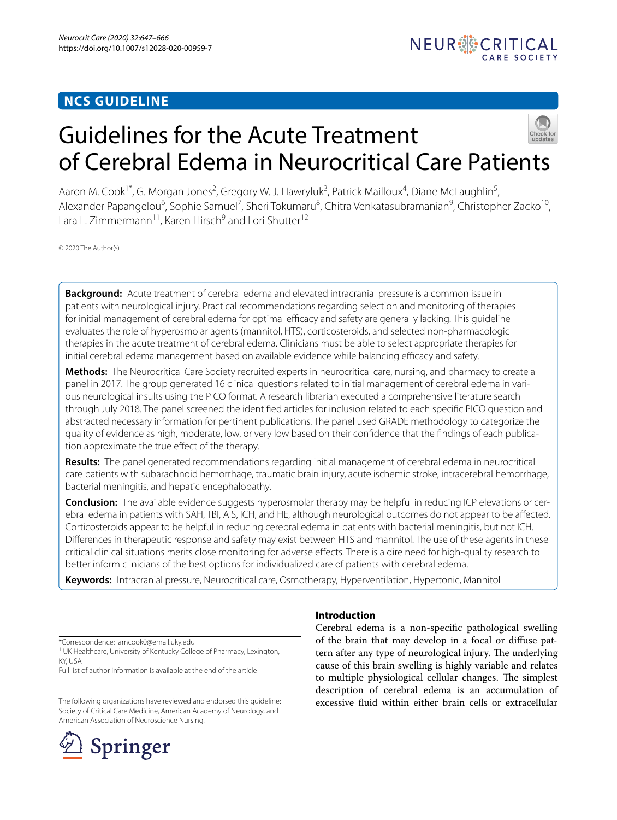# **NCS GUIDELINE**



# of Cerebral Edema in Neurocritical Care Patients Aaron M. Cook<sup>1\*</sup>, G. Morgan Jones<sup>2</sup>, Gregory W. J. Hawryluk<sup>3</sup>, Patrick Mailloux<sup>4</sup>, Diane McLaughlin<sup>5</sup>,

Guidelines for the Acute Treatment

Alexander Papangelou<sup>6</sup>, Sophie Samuel<sup>7</sup>, Sheri Tokumaru<sup>8</sup>, Chitra Venkatasubramanian<sup>9</sup>, Christopher Zacko<sup>10</sup>, Lara L. Zimmermann<sup>11</sup>, Karen Hirsch<sup>9</sup> and Lori Shutter<sup>12</sup>

© 2020 The Author(s)

**Background:** Acute treatment of cerebral edema and elevated intracranial pressure is a common issue in patients with neurological injury. Practical recommendations regarding selection and monitoring of therapies for initial management of cerebral edema for optimal efficacy and safety are generally lacking. This guideline evaluates the role of hyperosmolar agents (mannitol, HTS), corticosteroids, and selected non-pharmacologic therapies in the acute treatment of cerebral edema. Clinicians must be able to select appropriate therapies for initial cerebral edema management based on available evidence while balancing efficacy and safety.

**Methods:** The Neurocritical Care Society recruited experts in neurocritical care, nursing, and pharmacy to create a panel in 2017. The group generated 16 clinical questions related to initial management of cerebral edema in various neurological insults using the PICO format. A research librarian executed a comprehensive literature search through July 2018. The panel screened the identifed articles for inclusion related to each specifc PICO question and abstracted necessary information for pertinent publications. The panel used GRADE methodology to categorize the quality of evidence as high, moderate, low, or very low based on their confdence that the fndings of each publication approximate the true efect of the therapy.

**Results:** The panel generated recommendations regarding initial management of cerebral edema in neurocritical care patients with subarachnoid hemorrhage, traumatic brain injury, acute ischemic stroke, intracerebral hemorrhage, bacterial meningitis, and hepatic encephalopathy.

**Conclusion:** The available evidence suggests hyperosmolar therapy may be helpful in reducing ICP elevations or cerebral edema in patients with SAH, TBI, AIS, ICH, and HE, although neurological outcomes do not appear to be afected. Corticosteroids appear to be helpful in reducing cerebral edema in patients with bacterial meningitis, but not ICH. Diferences in therapeutic response and safety may exist between HTS and mannitol. The use of these agents in these critical clinical situations merits close monitoring for adverse efects. There is a dire need for high-quality research to better inform clinicians of the best options for individualized care of patients with cerebral edema.

**Keywords:** Intracranial pressure, Neurocritical care, Osmotherapy, Hyperventilation, Hypertonic, Mannitol

\*Correspondence: amcook0@email.uky.edu

<sup>1</sup> UK Healthcare, University of Kentucky College of Pharmacy, Lexington, KY, USA

Full list of author information is available at the end of the article

The following organizations have reviewed and endorsed this guideline: Society of Critical Care Medicine, American Academy of Neurology, and American Association of Neuroscience Nursing.



# **Introduction**

Cerebral edema is a non-specifc pathological swelling of the brain that may develop in a focal or difuse pattern after any type of neurological injury. The underlying cause of this brain swelling is highly variable and relates to multiple physiological cellular changes. The simplest description of cerebral edema is an accumulation of excessive fuid within either brain cells or extracellular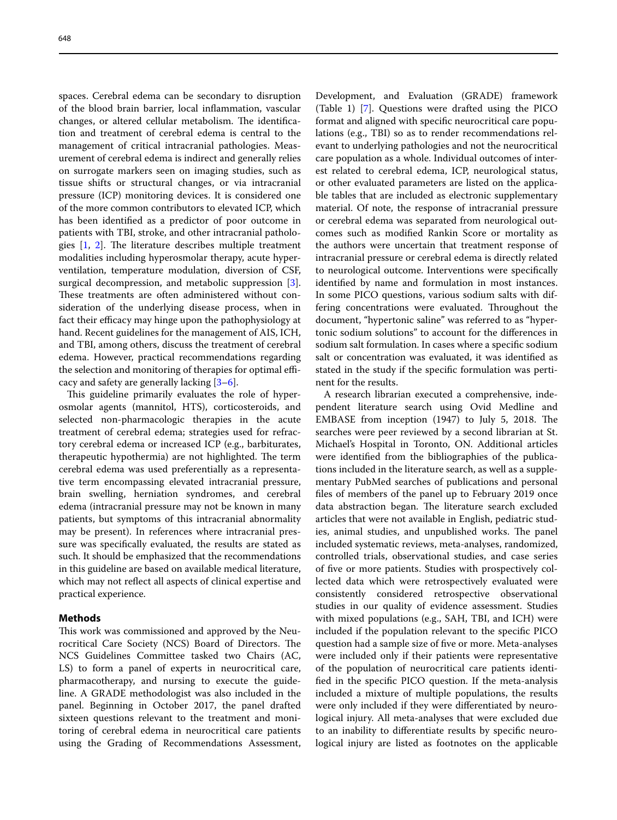spaces. Cerebral edema can be secondary to disruption of the blood brain barrier, local infammation, vascular changes, or altered cellular metabolism. The identification and treatment of cerebral edema is central to the management of critical intracranial pathologies. Measurement of cerebral edema is indirect and generally relies on surrogate markers seen on imaging studies, such as tissue shifts or structural changes, or via intracranial pressure (ICP) monitoring devices. It is considered one of the more common contributors to elevated ICP, which has been identifed as a predictor of poor outcome in patients with TBI, stroke, and other intracranial pathologies  $[1, 2]$  $[1, 2]$  $[1, 2]$ . The literature describes multiple treatment modalities including hyperosmolar therapy, acute hyperventilation, temperature modulation, diversion of CSF, surgical decompression, and metabolic suppression [\[3](#page-15-2)]. These treatments are often administered without consideration of the underlying disease process, when in fact their efficacy may hinge upon the pathophysiology at hand. Recent guidelines for the management of AIS, ICH, and TBI, among others, discuss the treatment of cerebral edema. However, practical recommendations regarding the selection and monitoring of therapies for optimal efficacy and safety are generally lacking [\[3](#page-15-2)–[6\]](#page-15-3).

This guideline primarily evaluates the role of hyperosmolar agents (mannitol, HTS), corticosteroids, and selected non-pharmacologic therapies in the acute treatment of cerebral edema; strategies used for refractory cerebral edema or increased ICP (e.g., barbiturates, therapeutic hypothermia) are not highlighted. The term cerebral edema was used preferentially as a representative term encompassing elevated intracranial pressure, brain swelling, herniation syndromes, and cerebral edema (intracranial pressure may not be known in many patients, but symptoms of this intracranial abnormality may be present). In references where intracranial pressure was specifcally evaluated, the results are stated as such. It should be emphasized that the recommendations in this guideline are based on available medical literature, which may not refect all aspects of clinical expertise and practical experience.

# **Methods**

This work was commissioned and approved by the Neurocritical Care Society (NCS) Board of Directors. The NCS Guidelines Committee tasked two Chairs (AC, LS) to form a panel of experts in neurocritical care, pharmacotherapy, and nursing to execute the guideline. A GRADE methodologist was also included in the panel. Beginning in October 2017, the panel drafted sixteen questions relevant to the treatment and monitoring of cerebral edema in neurocritical care patients using the Grading of Recommendations Assessment,

Development, and Evaluation (GRADE) framework (Table 1) [[7\]](#page-15-4). Questions were drafted using the PICO format and aligned with specifc neurocritical care populations (e.g., TBI) so as to render recommendations relevant to underlying pathologies and not the neurocritical care population as a whole. Individual outcomes of interest related to cerebral edema, ICP, neurological status, or other evaluated parameters are listed on the applicable tables that are included as electronic supplementary material. Of note, the response of intracranial pressure or cerebral edema was separated from neurological outcomes such as modifed Rankin Score or mortality as the authors were uncertain that treatment response of intracranial pressure or cerebral edema is directly related to neurological outcome. Interventions were specifcally identifed by name and formulation in most instances. In some PICO questions, various sodium salts with differing concentrations were evaluated. Throughout the document, "hypertonic saline" was referred to as "hypertonic sodium solutions" to account for the diferences in sodium salt formulation. In cases where a specifc sodium salt or concentration was evaluated, it was identifed as stated in the study if the specifc formulation was pertinent for the results.

A research librarian executed a comprehensive, independent literature search using Ovid Medline and EMBASE from inception  $(1947)$  to July 5, 2018. The searches were peer reviewed by a second librarian at St. Michael's Hospital in Toronto, ON. Additional articles were identifed from the bibliographies of the publications included in the literature search, as well as a supplementary PubMed searches of publications and personal fles of members of the panel up to February 2019 once data abstraction began. The literature search excluded articles that were not available in English, pediatric studies, animal studies, and unpublished works. The panel included systematic reviews, meta-analyses, randomized, controlled trials, observational studies, and case series of fve or more patients. Studies with prospectively collected data which were retrospectively evaluated were consistently considered retrospective observational studies in our quality of evidence assessment. Studies with mixed populations (e.g., SAH, TBI, and ICH) were included if the population relevant to the specifc PICO question had a sample size of fve or more. Meta-analyses were included only if their patients were representative of the population of neurocritical care patients identifed in the specifc PICO question. If the meta-analysis included a mixture of multiple populations, the results were only included if they were diferentiated by neurological injury. All meta-analyses that were excluded due to an inability to diferentiate results by specifc neurological injury are listed as footnotes on the applicable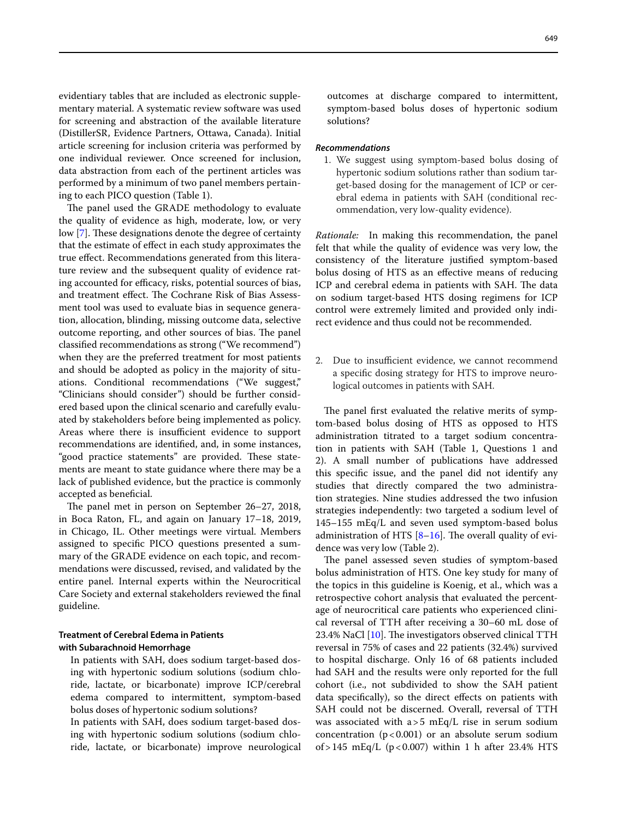evidentiary tables that are included as electronic supplementary material. A systematic review software was used for screening and abstraction of the available literature (DistillerSR, Evidence Partners, Ottawa, Canada). Initial article screening for inclusion criteria was performed by one individual reviewer. Once screened for inclusion, data abstraction from each of the pertinent articles was performed by a minimum of two panel members pertaining to each PICO question (Table 1).

The panel used the GRADE methodology to evaluate the quality of evidence as high, moderate, low, or very low [[7\]](#page-15-4). These designations denote the degree of certainty that the estimate of efect in each study approximates the true efect. Recommendations generated from this literature review and the subsequent quality of evidence rating accounted for efficacy, risks, potential sources of bias, and treatment effect. The Cochrane Risk of Bias Assessment tool was used to evaluate bias in sequence generation, allocation, blinding, missing outcome data, selective outcome reporting, and other sources of bias. The panel classifed recommendations as strong ("We recommend") when they are the preferred treatment for most patients and should be adopted as policy in the majority of situations. Conditional recommendations ("We suggest," "Clinicians should consider") should be further considered based upon the clinical scenario and carefully evaluated by stakeholders before being implemented as policy. Areas where there is insufficient evidence to support recommendations are identifed, and, in some instances, "good practice statements" are provided. These statements are meant to state guidance where there may be a lack of published evidence, but the practice is commonly accepted as benefcial.

The panel met in person on September 26–27, 2018, in Boca Raton, FL, and again on January 17–18, 2019, in Chicago, IL. Other meetings were virtual. Members assigned to specifc PICO questions presented a summary of the GRADE evidence on each topic, and recommendations were discussed, revised, and validated by the entire panel. Internal experts within the Neurocritical Care Society and external stakeholders reviewed the fnal guideline.

# **Treatment of Cerebral Edema in Patients with Subarachnoid Hemorrhage**

In patients with SAH, does sodium target-based dosing with hypertonic sodium solutions (sodium chloride, lactate, or bicarbonate) improve ICP/cerebral edema compared to intermittent, symptom-based bolus doses of hypertonic sodium solutions?

In patients with SAH, does sodium target-based dosing with hypertonic sodium solutions (sodium chloride, lactate, or bicarbonate) improve neurological outcomes at discharge compared to intermittent, symptom-based bolus doses of hypertonic sodium solutions?

#### *Recommendations*

1. We suggest using symptom-based bolus dosing of hypertonic sodium solutions rather than sodium target-based dosing for the management of ICP or cerebral edema in patients with SAH (conditional recommendation, very low-quality evidence).

*Rationale:* In making this recommendation, the panel felt that while the quality of evidence was very low, the consistency of the literature justifed symptom-based bolus dosing of HTS as an efective means of reducing ICP and cerebral edema in patients with SAH. The data on sodium target-based HTS dosing regimens for ICP control were extremely limited and provided only indirect evidence and thus could not be recommended.

2. Due to insufficient evidence, we cannot recommend a specifc dosing strategy for HTS to improve neurological outcomes in patients with SAH.

The panel first evaluated the relative merits of symptom-based bolus dosing of HTS as opposed to HTS administration titrated to a target sodium concentration in patients with SAH (Table 1, Questions 1 and 2). A small number of publications have addressed this specifc issue, and the panel did not identify any studies that directly compared the two administration strategies. Nine studies addressed the two infusion strategies independently: two targeted a sodium level of 145–155 mEq/L and seven used symptom-based bolus administration of HTS  $[8-16]$  $[8-16]$ . The overall quality of evidence was very low (Table 2).

The panel assessed seven studies of symptom-based bolus administration of HTS. One key study for many of the topics in this guideline is Koenig, et al., which was a retrospective cohort analysis that evaluated the percentage of neurocritical care patients who experienced clinical reversal of TTH after receiving a 30–60 mL dose of 23.4% NaCl  $[10]$  $[10]$  $[10]$ . The investigators observed clinical TTH reversal in 75% of cases and 22 patients (32.4%) survived to hospital discharge. Only 16 of 68 patients included had SAH and the results were only reported for the full cohort (i.e., not subdivided to show the SAH patient data specifcally), so the direct efects on patients with SAH could not be discerned. Overall, reversal of TTH was associated with  $a > 5$  mEq/L rise in serum sodium concentration ( $p < 0.001$ ) or an absolute serum sodium of > 145  $mEq/L$  (p < 0.007) within 1 h after 23.4% HTS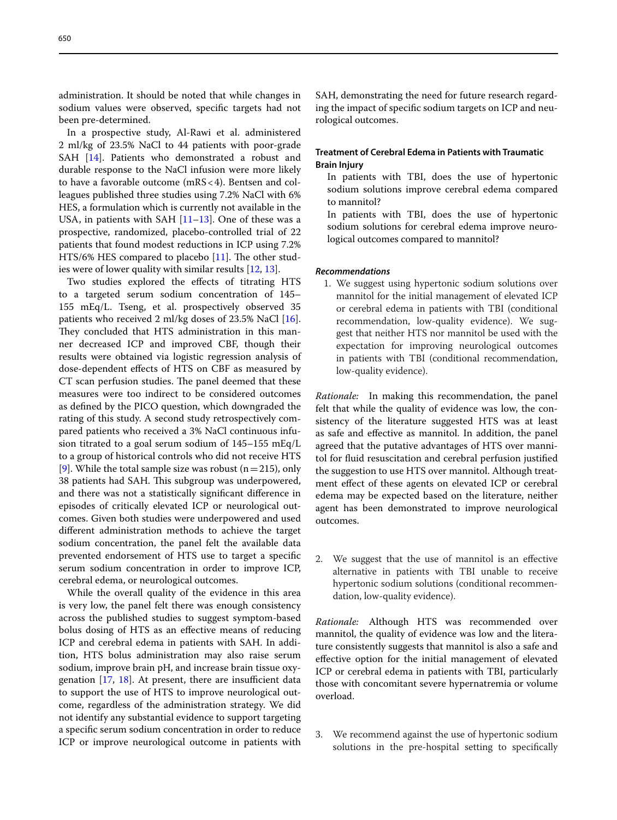administration. It should be noted that while changes in sodium values were observed, specifc targets had not been pre-determined.

In a prospective study, Al-Rawi et al. administered 2 ml/kg of 23.5% NaCl to 44 patients with poor-grade SAH [[14](#page-15-8)]. Patients who demonstrated a robust and durable response to the NaCl infusion were more likely to have a favorable outcome (mRS<4). Bentsen and colleagues published three studies using 7.2% NaCl with 6% HES, a formulation which is currently not available in the USA, in patients with SAH  $[11-13]$  $[11-13]$ . One of these was a prospective, randomized, placebo-controlled trial of 22 patients that found modest reductions in ICP using 7.2% HTS/6% HES compared to placebo  $[11]$  $[11]$ . The other studies were of lower quality with similar results [\[12,](#page-15-11) [13](#page-15-10)].

Two studies explored the efects of titrating HTS to a targeted serum sodium concentration of 145– 155 mEq/L. Tseng, et al. prospectively observed 35 patients who received 2 ml/kg doses of 23.5% NaCl [\[16](#page-15-6)]. They concluded that HTS administration in this manner decreased ICP and improved CBF, though their results were obtained via logistic regression analysis of dose-dependent efects of HTS on CBF as measured by CT scan perfusion studies. The panel deemed that these measures were too indirect to be considered outcomes as defned by the PICO question, which downgraded the rating of this study. A second study retrospectively compared patients who received a 3% NaCl continuous infusion titrated to a goal serum sodium of 145–155 mEq/L to a group of historical controls who did not receive HTS [[9\]](#page-15-12). While the total sample size was robust ( $n=215$ ), only 38 patients had SAH. This subgroup was underpowered, and there was not a statistically signifcant diference in episodes of critically elevated ICP or neurological outcomes. Given both studies were underpowered and used diferent administration methods to achieve the target sodium concentration, the panel felt the available data prevented endorsement of HTS use to target a specifc serum sodium concentration in order to improve ICP, cerebral edema, or neurological outcomes.

While the overall quality of the evidence in this area is very low, the panel felt there was enough consistency across the published studies to suggest symptom-based bolus dosing of HTS as an efective means of reducing ICP and cerebral edema in patients with SAH. In addition, HTS bolus administration may also raise serum sodium, improve brain pH, and increase brain tissue oxygenation  $[17, 18]$  $[17, 18]$  $[17, 18]$  $[17, 18]$  $[17, 18]$ . At present, there are insufficient data to support the use of HTS to improve neurological outcome, regardless of the administration strategy. We did not identify any substantial evidence to support targeting a specifc serum sodium concentration in order to reduce ICP or improve neurological outcome in patients with SAH, demonstrating the need for future research regarding the impact of specifc sodium targets on ICP and neurological outcomes.

# **Treatment of Cerebral Edema in Patients with Traumatic Brain Injury**

In patients with TBI, does the use of hypertonic sodium solutions improve cerebral edema compared to mannitol?

In patients with TBI, does the use of hypertonic sodium solutions for cerebral edema improve neurological outcomes compared to mannitol?

# *Recommendations*

1. We suggest using hypertonic sodium solutions over mannitol for the initial management of elevated ICP or cerebral edema in patients with TBI (conditional recommendation, low-quality evidence). We suggest that neither HTS nor mannitol be used with the expectation for improving neurological outcomes in patients with TBI (conditional recommendation, low-quality evidence).

*Rationale:* In making this recommendation, the panel felt that while the quality of evidence was low, the consistency of the literature suggested HTS was at least as safe and efective as mannitol. In addition, the panel agreed that the putative advantages of HTS over mannitol for fuid resuscitation and cerebral perfusion justifed the suggestion to use HTS over mannitol. Although treatment efect of these agents on elevated ICP or cerebral edema may be expected based on the literature, neither agent has been demonstrated to improve neurological outcomes.

2. We suggest that the use of mannitol is an efective alternative in patients with TBI unable to receive hypertonic sodium solutions (conditional recommendation, low-quality evidence).

*Rationale:* Although HTS was recommended over mannitol, the quality of evidence was low and the literature consistently suggests that mannitol is also a safe and efective option for the initial management of elevated ICP or cerebral edema in patients with TBI, particularly those with concomitant severe hypernatremia or volume overload.

3. We recommend against the use of hypertonic sodium solutions in the pre-hospital setting to specifcally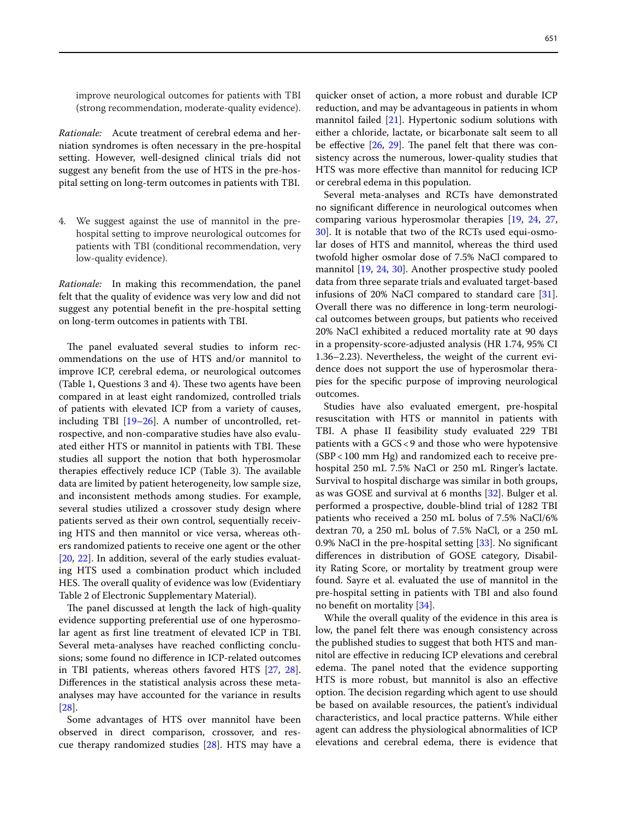improve neurological outcomes for patients with TBI (strong recommendation, moderate-quality evidence).

*Rationale:* Acute treatment of cerebral edema and herniation syndromes is often necessary in the pre-hospital setting. However, well-designed clinical trials did not suggest any beneft from the use of HTS in the pre-hospital setting on long-term outcomes in patients with TBI.

4. We suggest against the use of mannitol in the prehospital setting to improve neurological outcomes for patients with TBI (conditional recommendation, very low-quality evidence).

*Rationale:* In making this recommendation, the panel felt that the quality of evidence was very low and did not suggest any potential beneft in the pre-hospital setting on long-term outcomes in patients with TBI.

The panel evaluated several studies to inform recommendations on the use of HTS and/or mannitol to improve ICP, cerebral edema, or neurological outcomes (Table 1, Questions 3 and 4). These two agents have been compared in at least eight randomized, controlled trials of patients with elevated ICP from a variety of causes, including TBI [\[19–](#page-15-15)[26\]](#page-15-16). A number of uncontrolled, retrospective, and non-comparative studies have also evaluated either HTS or mannitol in patients with TBI. These studies all support the notion that both hyperosmolar therapies effectively reduce ICP (Table 3). The available data are limited by patient heterogeneity, low sample size, and inconsistent methods among studies. For example, several studies utilized a crossover study design where patients served as their own control, sequentially receiving HTS and then mannitol or vice versa, whereas others randomized patients to receive one agent or the other [[20,](#page-15-17) [22\]](#page-15-18). In addition, several of the early studies evaluating HTS used a combination product which included HES. The overall quality of evidence was low (Evidentiary Table 2 of Electronic Supplementary Material).

The panel discussed at length the lack of high-quality evidence supporting preferential use of one hyperosmolar agent as frst line treatment of elevated ICP in TBI. Several meta-analyses have reached conficting conclusions; some found no diference in ICP-related outcomes in TBI patients, whereas others favored HTS [[27,](#page-15-19) [28](#page-16-0)]. Diferences in the statistical analysis across these metaanalyses may have accounted for the variance in results [[28\]](#page-16-0).

Some advantages of HTS over mannitol have been observed in direct comparison, crossover, and rescue therapy randomized studies [\[28](#page-16-0)]. HTS may have a

quicker onset of action, a more robust and durable ICP reduction, and may be advantageous in patients in whom mannitol failed [\[21](#page-15-20)]. Hypertonic sodium solutions with either a chloride, lactate, or bicarbonate salt seem to all be effective  $[26, 29]$  $[26, 29]$  $[26, 29]$ . The panel felt that there was consistency across the numerous, lower-quality studies that HTS was more efective than mannitol for reducing ICP or cerebral edema in this population.

Several meta-analyses and RCTs have demonstrated no signifcant diference in neurological outcomes when comparing various hyperosmolar therapies [[19](#page-15-15), [24,](#page-15-21) [27](#page-15-19), [30\]](#page-16-2). It is notable that two of the RCTs used equi-osmolar doses of HTS and mannitol, whereas the third used twofold higher osmolar dose of 7.5% NaCl compared to mannitol [\[19](#page-15-15), [24](#page-15-21), [30\]](#page-16-2). Another prospective study pooled data from three separate trials and evaluated target-based infusions of 20% NaCl compared to standard care [\[31](#page-16-3)]. Overall there was no diference in long-term neurological outcomes between groups, but patients who received 20% NaCl exhibited a reduced mortality rate at 90 days in a propensity-score-adjusted analysis (HR 1.74, 95% CI 1.36–2.23). Nevertheless, the weight of the current evidence does not support the use of hyperosmolar therapies for the specifc purpose of improving neurological outcomes.

Studies have also evaluated emergent, pre-hospital resuscitation with HTS or mannitol in patients with TBI. A phase II feasibility study evaluated 229 TBI patients with a GCS<9 and those who were hypotensive (SBP<100 mm Hg) and randomized each to receive prehospital 250 mL 7.5% NaCl or 250 mL Ringer's lactate. Survival to hospital discharge was similar in both groups, as was GOSE and survival at 6 months [\[32\]](#page-16-4). Bulger et al. performed a prospective, double-blind trial of 1282 TBI patients who received a 250 mL bolus of 7.5% NaCl/6% dextran 70, a 250 mL bolus of 7.5% NaCl, or a 250 mL 0.9% NaCl in the pre-hospital setting [[33\]](#page-16-5). No signifcant diferences in distribution of GOSE category, Disability Rating Score, or mortality by treatment group were found. Sayre et al. evaluated the use of mannitol in the pre-hospital setting in patients with TBI and also found no beneft on mortality [[34](#page-16-6)].

While the overall quality of the evidence in this area is low, the panel felt there was enough consistency across the published studies to suggest that both HTS and mannitol are efective in reducing ICP elevations and cerebral edema. The panel noted that the evidence supporting HTS is more robust, but mannitol is also an efective option. The decision regarding which agent to use should be based on available resources, the patient's individual characteristics, and local practice patterns. While either agent can address the physiological abnormalities of ICP elevations and cerebral edema, there is evidence that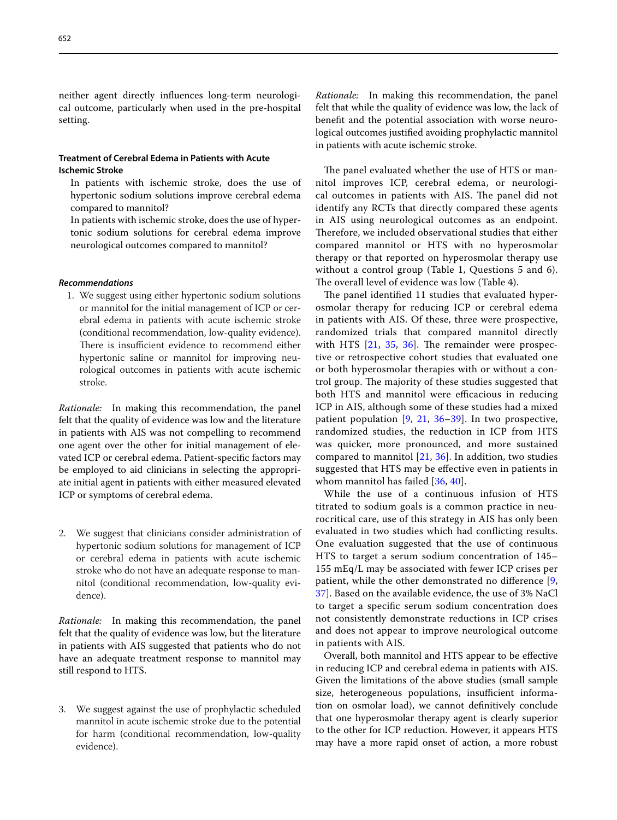neither agent directly infuences long-term neurological outcome, particularly when used in the pre-hospital setting.

# **Treatment of Cerebral Edema in Patients with Acute Ischemic Stroke**

In patients with ischemic stroke, does the use of hypertonic sodium solutions improve cerebral edema compared to mannitol?

In patients with ischemic stroke, does the use of hypertonic sodium solutions for cerebral edema improve neurological outcomes compared to mannitol?

# *Recommendations*

1. We suggest using either hypertonic sodium solutions or mannitol for the initial management of ICP or cerebral edema in patients with acute ischemic stroke (conditional recommendation, low-quality evidence). There is insufficient evidence to recommend either hypertonic saline or mannitol for improving neurological outcomes in patients with acute ischemic stroke.

*Rationale:* In making this recommendation, the panel felt that the quality of evidence was low and the literature in patients with AIS was not compelling to recommend one agent over the other for initial management of elevated ICP or cerebral edema. Patient-specifc factors may be employed to aid clinicians in selecting the appropriate initial agent in patients with either measured elevated ICP or symptoms of cerebral edema.

2. We suggest that clinicians consider administration of hypertonic sodium solutions for management of ICP or cerebral edema in patients with acute ischemic stroke who do not have an adequate response to mannitol (conditional recommendation, low-quality evidence).

*Rationale:* In making this recommendation, the panel felt that the quality of evidence was low, but the literature in patients with AIS suggested that patients who do not have an adequate treatment response to mannitol may still respond to HTS.

3. We suggest against the use of prophylactic scheduled mannitol in acute ischemic stroke due to the potential for harm (conditional recommendation, low-quality evidence).

*Rationale:* In making this recommendation, the panel felt that while the quality of evidence was low, the lack of beneft and the potential association with worse neurological outcomes justifed avoiding prophylactic mannitol in patients with acute ischemic stroke.

The panel evaluated whether the use of HTS or mannitol improves ICP, cerebral edema, or neurological outcomes in patients with AIS. The panel did not identify any RCTs that directly compared these agents in AIS using neurological outcomes as an endpoint. Therefore, we included observational studies that either compared mannitol or HTS with no hyperosmolar therapy or that reported on hyperosmolar therapy use without a control group (Table 1, Questions 5 and 6). The overall level of evidence was low (Table 4).

The panel identified 11 studies that evaluated hyperosmolar therapy for reducing ICP or cerebral edema in patients with AIS. Of these, three were prospective, randomized trials that compared mannitol directly with HTS  $[21, 35, 36]$  $[21, 35, 36]$  $[21, 35, 36]$  $[21, 35, 36]$  $[21, 35, 36]$  $[21, 35, 36]$ . The remainder were prospective or retrospective cohort studies that evaluated one or both hyperosmolar therapies with or without a control group. The majority of these studies suggested that both HTS and mannitol were efficacious in reducing ICP in AIS, although some of these studies had a mixed patient population  $[9, 21, 36-39]$  $[9, 21, 36-39]$  $[9, 21, 36-39]$  $[9, 21, 36-39]$  $[9, 21, 36-39]$  $[9, 21, 36-39]$ . In two prospective, randomized studies, the reduction in ICP from HTS was quicker, more pronounced, and more sustained compared to mannitol [[21](#page-15-20), [36](#page-16-8)]. In addition, two studies suggested that HTS may be efective even in patients in whom mannitol has failed [[36,](#page-16-8) [40\]](#page-16-10).

While the use of a continuous infusion of HTS titrated to sodium goals is a common practice in neurocritical care, use of this strategy in AIS has only been evaluated in two studies which had conficting results. One evaluation suggested that the use of continuous HTS to target a serum sodium concentration of 145– 155 mEq/L may be associated with fewer ICP crises per patient, while the other demonstrated no diference [\[9](#page-15-12), [37\]](#page-16-11). Based on the available evidence, the use of 3% NaCl to target a specifc serum sodium concentration does not consistently demonstrate reductions in ICP crises and does not appear to improve neurological outcome in patients with AIS.

Overall, both mannitol and HTS appear to be efective in reducing ICP and cerebral edema in patients with AIS. Given the limitations of the above studies (small sample size, heterogeneous populations, insufficient information on osmolar load), we cannot defnitively conclude that one hyperosmolar therapy agent is clearly superior to the other for ICP reduction. However, it appears HTS may have a more rapid onset of action, a more robust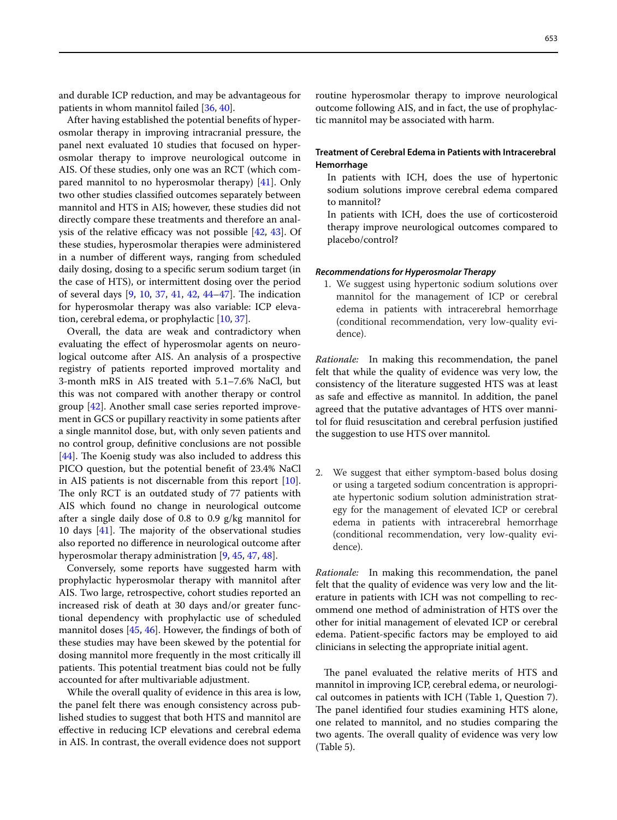and durable ICP reduction, and may be advantageous for patients in whom mannitol failed [\[36](#page-16-8), [40\]](#page-16-10).

After having established the potential benefts of hyperosmolar therapy in improving intracranial pressure, the panel next evaluated 10 studies that focused on hyperosmolar therapy to improve neurological outcome in AIS. Of these studies, only one was an RCT (which compared mannitol to no hyperosmolar therapy) [[41](#page-16-12)]. Only two other studies classifed outcomes separately between mannitol and HTS in AIS; however, these studies did not directly compare these treatments and therefore an analysis of the relative efficacy was not possible  $[42, 43]$  $[42, 43]$  $[42, 43]$  $[42, 43]$  $[42, 43]$ . Of these studies, hyperosmolar therapies were administered in a number of diferent ways, ranging from scheduled daily dosing, dosing to a specifc serum sodium target (in the case of HTS), or intermittent dosing over the period of several days  $[9, 10, 37, 41, 42, 44–47]$  $[9, 10, 37, 41, 42, 44–47]$  $[9, 10, 37, 41, 42, 44–47]$  $[9, 10, 37, 41, 42, 44–47]$  $[9, 10, 37, 41, 42, 44–47]$  $[9, 10, 37, 41, 42, 44–47]$  $[9, 10, 37, 41, 42, 44–47]$  $[9, 10, 37, 41, 42, 44–47]$  $[9, 10, 37, 41, 42, 44–47]$  $[9, 10, 37, 41, 42, 44–47]$  $[9, 10, 37, 41, 42, 44–47]$  $[9, 10, 37, 41, 42, 44–47]$ . The indication for hyperosmolar therapy was also variable: ICP elevation, cerebral edema, or prophylactic [\[10](#page-15-7), [37\]](#page-16-11).

Overall, the data are weak and contradictory when evaluating the effect of hyperosmolar agents on neurological outcome after AIS. An analysis of a prospective registry of patients reported improved mortality and 3-month mRS in AIS treated with 5.1–7.6% NaCl, but this was not compared with another therapy or control group [\[42](#page-16-13)]. Another small case series reported improvement in GCS or pupillary reactivity in some patients after a single mannitol dose, but, with only seven patients and no control group, defnitive conclusions are not possible  $[44]$  $[44]$ . The Koenig study was also included to address this PICO question, but the potential beneft of 23.4% NaCl in AIS patients is not discernable from this report [\[10](#page-15-7)]. The only RCT is an outdated study of 77 patients with AIS which found no change in neurological outcome after a single daily dose of 0.8 to 0.9 g/kg mannitol for 10 days  $[41]$  $[41]$ . The majority of the observational studies also reported no diference in neurological outcome after hyperosmolar therapy administration [[9,](#page-15-12) [45](#page-16-17), [47](#page-16-16), [48\]](#page-16-18).

Conversely, some reports have suggested harm with prophylactic hyperosmolar therapy with mannitol after AIS. Two large, retrospective, cohort studies reported an increased risk of death at 30 days and/or greater functional dependency with prophylactic use of scheduled mannitol doses  $[45, 46]$  $[45, 46]$  $[45, 46]$ . However, the findings of both of these studies may have been skewed by the potential for dosing mannitol more frequently in the most critically ill patients. This potential treatment bias could not be fully accounted for after multivariable adjustment.

While the overall quality of evidence in this area is low, the panel felt there was enough consistency across published studies to suggest that both HTS and mannitol are efective in reducing ICP elevations and cerebral edema in AIS. In contrast, the overall evidence does not support routine hyperosmolar therapy to improve neurological outcome following AIS, and in fact, the use of prophylactic mannitol may be associated with harm.

# **Treatment of Cerebral Edema in Patients with Intracerebral Hemorrhage**

In patients with ICH, does the use of hypertonic sodium solutions improve cerebral edema compared to mannitol?

In patients with ICH, does the use of corticosteroid therapy improve neurological outcomes compared to placebo/control?

#### *Recommendations for Hyperosmolar Therapy*

1. We suggest using hypertonic sodium solutions over mannitol for the management of ICP or cerebral edema in patients with intracerebral hemorrhage (conditional recommendation, very low-quality evidence).

*Rationale:* In making this recommendation, the panel felt that while the quality of evidence was very low, the consistency of the literature suggested HTS was at least as safe and efective as mannitol. In addition, the panel agreed that the putative advantages of HTS over mannitol for fuid resuscitation and cerebral perfusion justifed the suggestion to use HTS over mannitol.

2. We suggest that either symptom-based bolus dosing or using a targeted sodium concentration is appropriate hypertonic sodium solution administration strategy for the management of elevated ICP or cerebral edema in patients with intracerebral hemorrhage (conditional recommendation, very low-quality evidence).

*Rationale:* In making this recommendation, the panel felt that the quality of evidence was very low and the literature in patients with ICH was not compelling to recommend one method of administration of HTS over the other for initial management of elevated ICP or cerebral edema. Patient-specifc factors may be employed to aid clinicians in selecting the appropriate initial agent.

The panel evaluated the relative merits of HTS and mannitol in improving ICP, cerebral edema, or neurological outcomes in patients with ICH (Table 1, Question 7). The panel identified four studies examining HTS alone, one related to mannitol, and no studies comparing the two agents. The overall quality of evidence was very low (Table 5).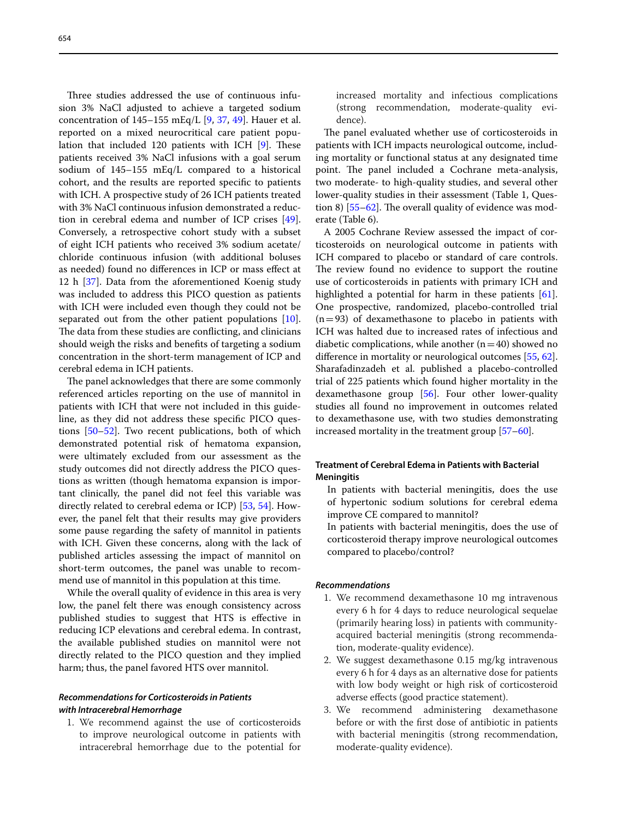Three studies addressed the use of continuous infusion 3% NaCl adjusted to achieve a targeted sodium concentration of  $145-155$  mEq/L [[9,](#page-15-12) [37](#page-16-11), [49](#page-16-20)]. Hauer et al. reported on a mixed neurocritical care patient population that included 120 patients with ICH  $[9]$  $[9]$ . These patients received 3% NaCl infusions with a goal serum sodium of 145–155 mEq/L compared to a historical cohort, and the results are reported specifc to patients with ICH. A prospective study of 26 ICH patients treated with 3% NaCl continuous infusion demonstrated a reduction in cerebral edema and number of ICP crises [\[49](#page-16-20)]. Conversely, a retrospective cohort study with a subset of eight ICH patients who received 3% sodium acetate/ chloride continuous infusion (with additional boluses as needed) found no diferences in ICP or mass efect at 12 h [[37\]](#page-16-11). Data from the aforementioned Koenig study was included to address this PICO question as patients with ICH were included even though they could not be separated out from the other patient populations [\[10](#page-15-7)]. The data from these studies are conflicting, and clinicians should weigh the risks and benefts of targeting a sodium concentration in the short-term management of ICP and cerebral edema in ICH patients.

The panel acknowledges that there are some commonly referenced articles reporting on the use of mannitol in patients with ICH that were not included in this guideline, as they did not address these specifc PICO questions [[50](#page-16-21)[–52](#page-16-22)]. Two recent publications, both of which demonstrated potential risk of hematoma expansion, were ultimately excluded from our assessment as the study outcomes did not directly address the PICO questions as written (though hematoma expansion is important clinically, the panel did not feel this variable was directly related to cerebral edema or ICP) [\[53](#page-16-23), [54](#page-16-24)]. However, the panel felt that their results may give providers some pause regarding the safety of mannitol in patients with ICH. Given these concerns, along with the lack of published articles assessing the impact of mannitol on short-term outcomes, the panel was unable to recommend use of mannitol in this population at this time.

While the overall quality of evidence in this area is very low, the panel felt there was enough consistency across published studies to suggest that HTS is efective in reducing ICP elevations and cerebral edema. In contrast, the available published studies on mannitol were not directly related to the PICO question and they implied harm; thus, the panel favored HTS over mannitol.

# *Recommendations for Corticosteroids in Patients with Intracerebral Hemorrhage*

1. We recommend against the use of corticosteroids to improve neurological outcome in patients with intracerebral hemorrhage due to the potential for increased mortality and infectious complications (strong recommendation, moderate-quality evidence).

The panel evaluated whether use of corticosteroids in patients with ICH impacts neurological outcome, including mortality or functional status at any designated time point. The panel included a Cochrane meta-analysis, two moderate- to high-quality studies, and several other lower-quality studies in their assessment (Table 1, Question 8)  $[55-62]$  $[55-62]$ . The overall quality of evidence was moderate (Table 6).

A 2005 Cochrane Review assessed the impact of corticosteroids on neurological outcome in patients with ICH compared to placebo or standard of care controls. The review found no evidence to support the routine use of corticosteroids in patients with primary ICH and highlighted a potential for harm in these patients [\[61](#page-16-27)]. One prospective, randomized, placebo-controlled trial  $(n=93)$  of dexamethasone to placebo in patients with ICH was halted due to increased rates of infectious and diabetic complications, while another  $(n=40)$  showed no diference in mortality or neurological outcomes [[55,](#page-16-25) [62](#page-16-26)]. Sharafadinzadeh et al. published a placebo-controlled trial of 225 patients which found higher mortality in the dexamethasone group [[56\]](#page-16-28). Four other lower-quality studies all found no improvement in outcomes related to dexamethasone use, with two studies demonstrating increased mortality in the treatment group [[57](#page-16-29)[–60](#page-16-30)].

# **Treatment of Cerebral Edema in Patients with Bacterial Meningitis**

- In patients with bacterial meningitis, does the use of hypertonic sodium solutions for cerebral edema improve CE compared to mannitol?
- In patients with bacterial meningitis, does the use of corticosteroid therapy improve neurological outcomes compared to placebo/control?

# *Recommendations*

- 1. We recommend dexamethasone 10 mg intravenous every 6 h for 4 days to reduce neurological sequelae (primarily hearing loss) in patients with communityacquired bacterial meningitis (strong recommendation, moderate-quality evidence).
- 2. We suggest dexamethasone 0.15 mg/kg intravenous every 6 h for 4 days as an alternative dose for patients with low body weight or high risk of corticosteroid adverse efects (good practice statement).
- 3. We recommend administering dexamethasone before or with the frst dose of antibiotic in patients with bacterial meningitis (strong recommendation, moderate-quality evidence).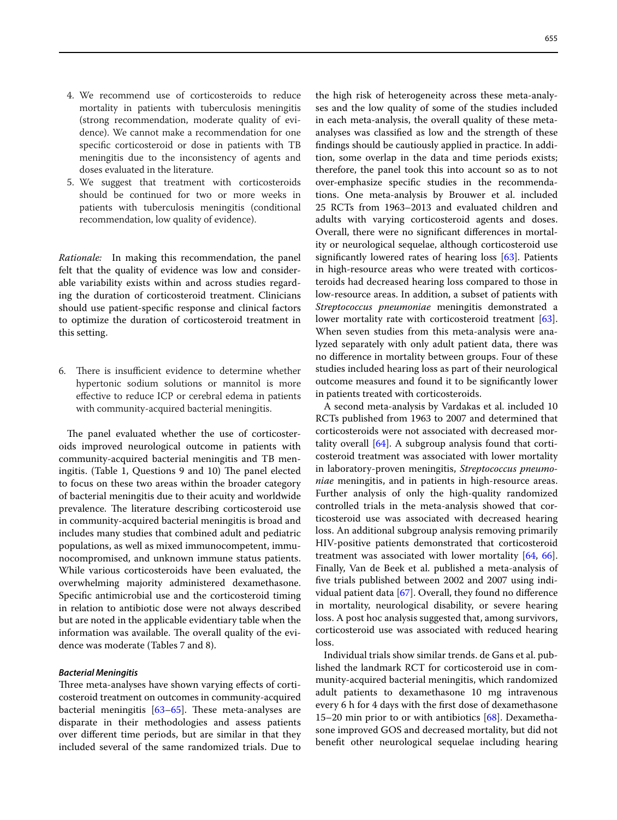- 4. We recommend use of corticosteroids to reduce mortality in patients with tuberculosis meningitis (strong recommendation, moderate quality of evidence). We cannot make a recommendation for one specifc corticosteroid or dose in patients with TB meningitis due to the inconsistency of agents and doses evaluated in the literature.
- 5. We suggest that treatment with corticosteroids should be continued for two or more weeks in patients with tuberculosis meningitis (conditional recommendation, low quality of evidence).

*Rationale:* In making this recommendation, the panel felt that the quality of evidence was low and considerable variability exists within and across studies regarding the duration of corticosteroid treatment. Clinicians should use patient-specifc response and clinical factors to optimize the duration of corticosteroid treatment in this setting.

6. There is insufficient evidence to determine whether hypertonic sodium solutions or mannitol is more efective to reduce ICP or cerebral edema in patients with community-acquired bacterial meningitis.

The panel evaluated whether the use of corticosteroids improved neurological outcome in patients with community-acquired bacterial meningitis and TB meningitis. (Table 1, Questions 9 and 10) The panel elected to focus on these two areas within the broader category of bacterial meningitis due to their acuity and worldwide prevalence. The literature describing corticosteroid use in community-acquired bacterial meningitis is broad and includes many studies that combined adult and pediatric populations, as well as mixed immunocompetent, immunocompromised, and unknown immune status patients. While various corticosteroids have been evaluated, the overwhelming majority administered dexamethasone. Specifc antimicrobial use and the corticosteroid timing in relation to antibiotic dose were not always described but are noted in the applicable evidentiary table when the information was available. The overall quality of the evidence was moderate (Tables 7 and 8).

# *Bacterial Meningitis*

Three meta-analyses have shown varying effects of corticosteroid treatment on outcomes in community-acquired bacterial meningitis  $[63-65]$  $[63-65]$ . These meta-analyses are disparate in their methodologies and assess patients over diferent time periods, but are similar in that they included several of the same randomized trials. Due to the high risk of heterogeneity across these meta-analyses and the low quality of some of the studies included in each meta-analysis, the overall quality of these metaanalyses was classifed as low and the strength of these fndings should be cautiously applied in practice. In addition, some overlap in the data and time periods exists; therefore, the panel took this into account so as to not over-emphasize specifc studies in the recommendations. One meta-analysis by Brouwer et al. included 25 RCTs from 1963–2013 and evaluated children and adults with varying corticosteroid agents and doses. Overall, there were no signifcant diferences in mortality or neurological sequelae, although corticosteroid use signifcantly lowered rates of hearing loss [[63\]](#page-16-31). Patients in high-resource areas who were treated with corticosteroids had decreased hearing loss compared to those in low-resource areas. In addition, a subset of patients with *Streptococcus pneumoniae* meningitis demonstrated a lower mortality rate with corticosteroid treatment [\[63](#page-16-31)]. When seven studies from this meta-analysis were analyzed separately with only adult patient data, there was no diference in mortality between groups. Four of these studies included hearing loss as part of their neurological outcome measures and found it to be signifcantly lower in patients treated with corticosteroids.

A second meta-analysis by Vardakas et al. included 10 RCTs published from 1963 to 2007 and determined that corticosteroids were not associated with decreased mortality overall  $[64]$  $[64]$ . A subgroup analysis found that corticosteroid treatment was associated with lower mortality in laboratory-proven meningitis, *Streptococcus pneumoniae* meningitis, and in patients in high-resource areas. Further analysis of only the high-quality randomized controlled trials in the meta-analysis showed that corticosteroid use was associated with decreased hearing loss. An additional subgroup analysis removing primarily HIV-positive patients demonstrated that corticosteroid treatment was associated with lower mortality [\[64](#page-16-33), [66](#page-16-34)]. Finally, Van de Beek et al. published a meta-analysis of fve trials published between 2002 and 2007 using individual patient data [\[67\]](#page-16-35). Overall, they found no diference in mortality, neurological disability, or severe hearing loss. A post hoc analysis suggested that, among survivors, corticosteroid use was associated with reduced hearing loss.

Individual trials show similar trends. de Gans et al. published the landmark RCT for corticosteroid use in community-acquired bacterial meningitis, which randomized adult patients to dexamethasone 10 mg intravenous every 6 h for 4 days with the frst dose of dexamethasone 15–20 min prior to or with antibiotics [[68\]](#page-16-36). Dexamethasone improved GOS and decreased mortality, but did not beneft other neurological sequelae including hearing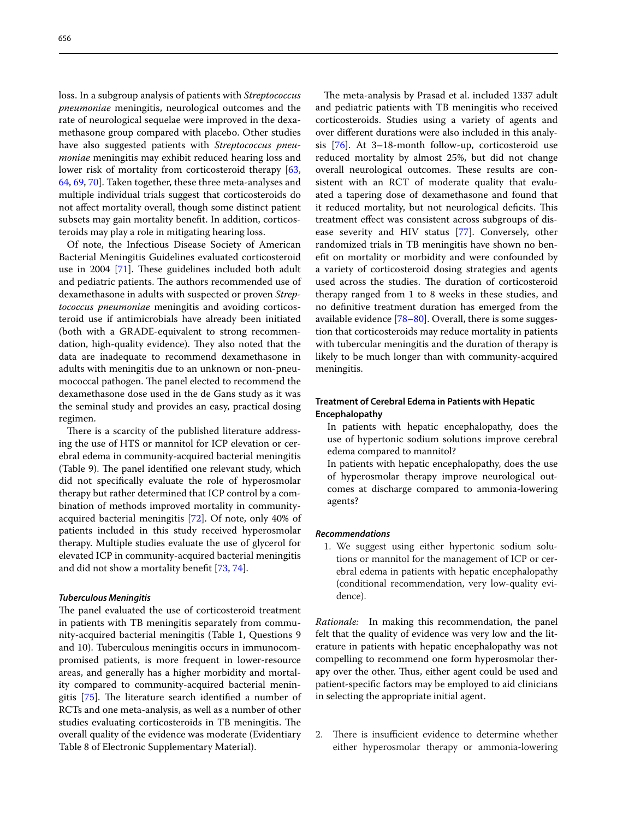loss. In a subgroup analysis of patients with *Streptococcus pneumoniae* meningitis, neurological outcomes and the rate of neurological sequelae were improved in the dexamethasone group compared with placebo. Other studies have also suggested patients with *Streptococcus pneumoniae* meningitis may exhibit reduced hearing loss and lower risk of mortality from corticosteroid therapy [\[63](#page-16-31), [64,](#page-16-33) [69,](#page-16-37) [70](#page-16-38)]. Taken together, these three meta-analyses and multiple individual trials suggest that corticosteroids do not afect mortality overall, though some distinct patient subsets may gain mortality beneft. In addition, corticosteroids may play a role in mitigating hearing loss.

Of note, the Infectious Disease Society of American Bacterial Meningitis Guidelines evaluated corticosteroid use in 2004  $[71]$  $[71]$ . These guidelines included both adult and pediatric patients. The authors recommended use of dexamethasone in adults with suspected or proven *Streptococcus pneumoniae* meningitis and avoiding corticosteroid use if antimicrobials have already been initiated (both with a GRADE-equivalent to strong recommendation, high-quality evidence). They also noted that the data are inadequate to recommend dexamethasone in adults with meningitis due to an unknown or non-pneumococcal pathogen. The panel elected to recommend the dexamethasone dose used in the de Gans study as it was the seminal study and provides an easy, practical dosing regimen.

There is a scarcity of the published literature addressing the use of HTS or mannitol for ICP elevation or cerebral edema in community-acquired bacterial meningitis (Table 9). The panel identified one relevant study, which did not specifcally evaluate the role of hyperosmolar therapy but rather determined that ICP control by a combination of methods improved mortality in communityacquired bacterial meningitis [[72](#page-16-40)]. Of note, only 40% of patients included in this study received hyperosmolar therapy. Multiple studies evaluate the use of glycerol for elevated ICP in community-acquired bacterial meningitis and did not show a mortality beneft [\[73](#page-17-0), [74](#page-17-1)].

#### *Tuberculous Meningitis*

The panel evaluated the use of corticosteroid treatment in patients with TB meningitis separately from community-acquired bacterial meningitis (Table 1, Questions 9 and 10). Tuberculous meningitis occurs in immunocompromised patients, is more frequent in lower-resource areas, and generally has a higher morbidity and mortality compared to community-acquired bacterial menin-gitis [\[75](#page-17-2)]. The literature search identified a number of RCTs and one meta-analysis, as well as a number of other studies evaluating corticosteroids in TB meningitis. The overall quality of the evidence was moderate (Evidentiary Table 8 of Electronic Supplementary Material).

The meta-analysis by Prasad et al. included 1337 adult and pediatric patients with TB meningitis who received corticosteroids. Studies using a variety of agents and over diferent durations were also included in this analysis [\[76](#page-17-3)]. At 3–18-month follow-up, corticosteroid use reduced mortality by almost 25%, but did not change overall neurological outcomes. These results are consistent with an RCT of moderate quality that evaluated a tapering dose of dexamethasone and found that it reduced mortality, but not neurological deficits. This treatment efect was consistent across subgroups of disease severity and HIV status [[77\]](#page-17-4). Conversely, other randomized trials in TB meningitis have shown no beneft on mortality or morbidity and were confounded by a variety of corticosteroid dosing strategies and agents used across the studies. The duration of corticosteroid therapy ranged from 1 to 8 weeks in these studies, and no defnitive treatment duration has emerged from the available evidence [[78](#page-17-5)[–80](#page-17-6)]. Overall, there is some suggestion that corticosteroids may reduce mortality in patients with tubercular meningitis and the duration of therapy is likely to be much longer than with community-acquired meningitis.

# **Treatment of Cerebral Edema in Patients with Hepatic Encephalopathy**

In patients with hepatic encephalopathy, does the use of hypertonic sodium solutions improve cerebral edema compared to mannitol?

In patients with hepatic encephalopathy, does the use of hyperosmolar therapy improve neurological outcomes at discharge compared to ammonia-lowering agents?

#### *Recommendations*

1. We suggest using either hypertonic sodium solutions or mannitol for the management of ICP or cerebral edema in patients with hepatic encephalopathy (conditional recommendation, very low-quality evidence).

*Rationale:* In making this recommendation, the panel felt that the quality of evidence was very low and the literature in patients with hepatic encephalopathy was not compelling to recommend one form hyperosmolar therapy over the other. Thus, either agent could be used and patient-specifc factors may be employed to aid clinicians in selecting the appropriate initial agent.

2. There is insufficient evidence to determine whether either hyperosmolar therapy or ammonia-lowering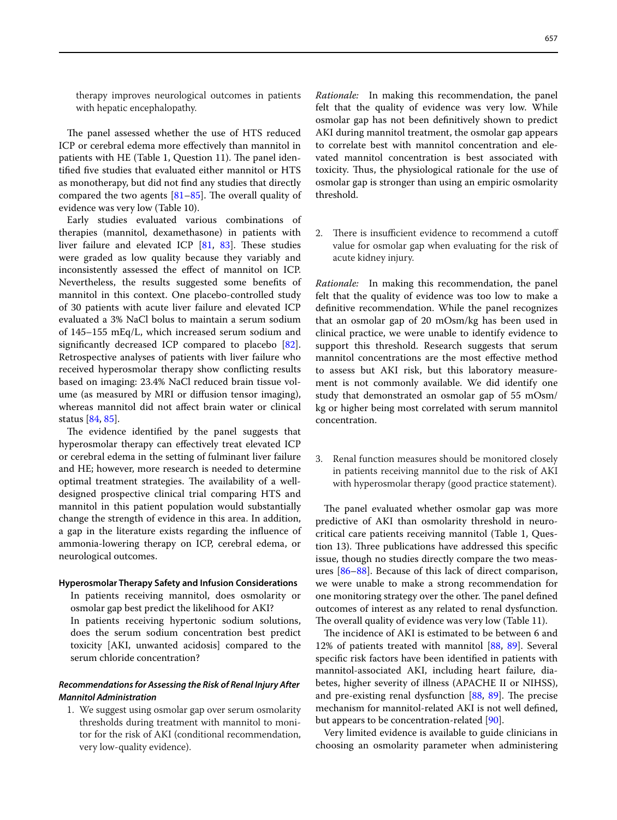therapy improves neurological outcomes in patients with hepatic encephalopathy.

The panel assessed whether the use of HTS reduced ICP or cerebral edema more efectively than mannitol in patients with HE (Table 1, Question 11). The panel identifed fve studies that evaluated either mannitol or HTS as monotherapy, but did not fnd any studies that directly compared the two agents  $[81-85]$  $[81-85]$ . The overall quality of evidence was very low (Table 10).

Early studies evaluated various combinations of therapies (mannitol, dexamethasone) in patients with liver failure and elevated ICP  $[81, 83]$  $[81, 83]$  $[81, 83]$  $[81, 83]$ . These studies were graded as low quality because they variably and inconsistently assessed the efect of mannitol on ICP. Nevertheless, the results suggested some benefts of mannitol in this context. One placebo-controlled study of 30 patients with acute liver failure and elevated ICP evaluated a 3% NaCl bolus to maintain a serum sodium of 145–155 mEq/L, which increased serum sodium and signifcantly decreased ICP compared to placebo [\[82](#page-17-10)]. Retrospective analyses of patients with liver failure who received hyperosmolar therapy show conficting results based on imaging: 23.4% NaCl reduced brain tissue volume (as measured by MRI or difusion tensor imaging), whereas mannitol did not afect brain water or clinical status [\[84,](#page-17-11) [85](#page-17-8)].

The evidence identified by the panel suggests that hyperosmolar therapy can efectively treat elevated ICP or cerebral edema in the setting of fulminant liver failure and HE; however, more research is needed to determine optimal treatment strategies. The availability of a welldesigned prospective clinical trial comparing HTS and mannitol in this patient population would substantially change the strength of evidence in this area. In addition, a gap in the literature exists regarding the infuence of ammonia-lowering therapy on ICP, cerebral edema, or neurological outcomes.

#### **Hyperosmolar Therapy Safety and Infusion Considerations**

In patients receiving mannitol, does osmolarity or osmolar gap best predict the likelihood for AKI?

In patients receiving hypertonic sodium solutions, does the serum sodium concentration best predict toxicity [AKI, unwanted acidosis] compared to the serum chloride concentration?

# *Recommendations for Assessing the Risk of Renal Injury After Mannitol Administration*

1. We suggest using osmolar gap over serum osmolarity thresholds during treatment with mannitol to monitor for the risk of AKI (conditional recommendation, very low-quality evidence).

*Rationale:* In making this recommendation, the panel felt that the quality of evidence was very low. While osmolar gap has not been defnitively shown to predict AKI during mannitol treatment, the osmolar gap appears to correlate best with mannitol concentration and elevated mannitol concentration is best associated with toxicity. Thus, the physiological rationale for the use of osmolar gap is stronger than using an empiric osmolarity threshold.

2. There is insufficient evidence to recommend a cutoff value for osmolar gap when evaluating for the risk of acute kidney injury.

*Rationale:* In making this recommendation, the panel felt that the quality of evidence was too low to make a defnitive recommendation. While the panel recognizes that an osmolar gap of 20 mOsm/kg has been used in clinical practice, we were unable to identify evidence to support this threshold. Research suggests that serum mannitol concentrations are the most efective method to assess but AKI risk, but this laboratory measurement is not commonly available. We did identify one study that demonstrated an osmolar gap of 55 mOsm/ kg or higher being most correlated with serum mannitol concentration.

3. Renal function measures should be monitored closely in patients receiving mannitol due to the risk of AKI with hyperosmolar therapy (good practice statement).

The panel evaluated whether osmolar gap was more predictive of AKI than osmolarity threshold in neurocritical care patients receiving mannitol (Table 1, Question 13). Three publications have addressed this specific issue, though no studies directly compare the two measures [[86](#page-17-12)[–88](#page-17-13)]. Because of this lack of direct comparison, we were unable to make a strong recommendation for one monitoring strategy over the other. The panel defined outcomes of interest as any related to renal dysfunction. The overall quality of evidence was very low (Table 11).

The incidence of AKI is estimated to be between 6 and 12% of patients treated with mannitol [[88](#page-17-13), [89\]](#page-17-14). Several specifc risk factors have been identifed in patients with mannitol-associated AKI, including heart failure, diabetes, higher severity of illness (APACHE II or NIHSS), and pre-existing renal dysfunction  $[88, 89]$  $[88, 89]$  $[88, 89]$  $[88, 89]$  $[88, 89]$ . The precise mechanism for mannitol-related AKI is not well defned, but appears to be concentration-related [[90](#page-17-15)].

Very limited evidence is available to guide clinicians in choosing an osmolarity parameter when administering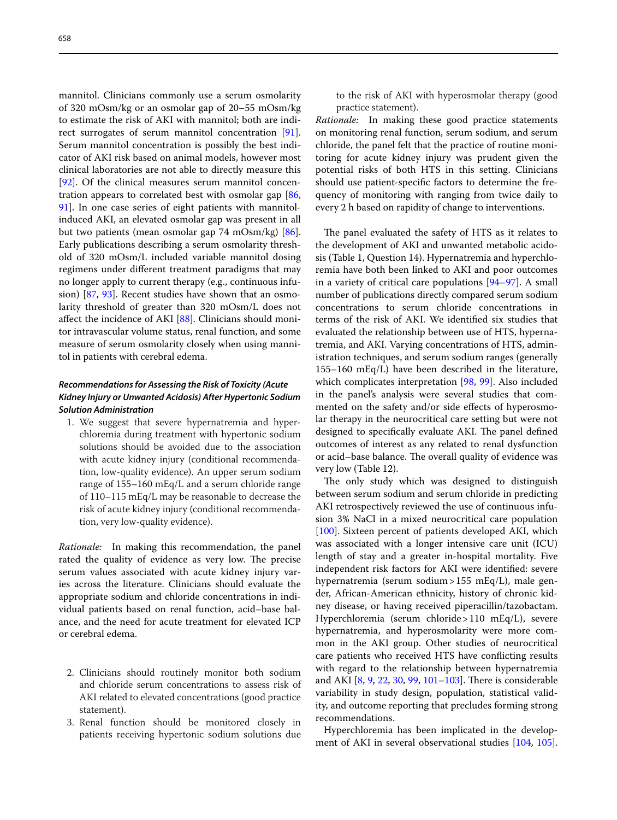mannitol. Clinicians commonly use a serum osmolarity of 320 mOsm/kg or an osmolar gap of 20–55 mOsm/kg to estimate the risk of AKI with mannitol; both are indirect surrogates of serum mannitol concentration [\[91](#page-17-16)]. Serum mannitol concentration is possibly the best indicator of AKI risk based on animal models, however most clinical laboratories are not able to directly measure this [[92\]](#page-17-17). Of the clinical measures serum mannitol concentration appears to correlated best with osmolar gap [\[86](#page-17-12), [91\]](#page-17-16). In one case series of eight patients with mannitolinduced AKI, an elevated osmolar gap was present in all but two patients (mean osmolar gap 74 mOsm/kg) [\[86](#page-17-12)]. Early publications describing a serum osmolarity threshold of 320 mOsm/L included variable mannitol dosing regimens under diferent treatment paradigms that may no longer apply to current therapy (e.g., continuous infusion) [\[87](#page-17-18), [93](#page-17-19)]. Recent studies have shown that an osmolarity threshold of greater than 320 mOsm/L does not affect the incidence of AKI [[88](#page-17-13)]. Clinicians should monitor intravascular volume status, renal function, and some measure of serum osmolarity closely when using mannitol in patients with cerebral edema.

# *Recommendations for Assessing the Risk of Toxicity (Acute Kidney Injury or Unwanted Acidosis) After Hypertonic Sodium Solution Administration*

1. We suggest that severe hypernatremia and hyperchloremia during treatment with hypertonic sodium solutions should be avoided due to the association with acute kidney injury (conditional recommendation, low-quality evidence). An upper serum sodium range of 155–160 mEq/L and a serum chloride range of 110–115 mEq/L may be reasonable to decrease the risk of acute kidney injury (conditional recommendation, very low-quality evidence).

*Rationale:* In making this recommendation, the panel rated the quality of evidence as very low. The precise serum values associated with acute kidney injury varies across the literature. Clinicians should evaluate the appropriate sodium and chloride concentrations in individual patients based on renal function, acid–base balance, and the need for acute treatment for elevated ICP or cerebral edema.

- 2. Clinicians should routinely monitor both sodium and chloride serum concentrations to assess risk of AKI related to elevated concentrations (good practice statement).
- 3. Renal function should be monitored closely in patients receiving hypertonic sodium solutions due

to the risk of AKI with hyperosmolar therapy (good practice statement).

*Rationale:* In making these good practice statements on monitoring renal function, serum sodium, and serum chloride, the panel felt that the practice of routine monitoring for acute kidney injury was prudent given the potential risks of both HTS in this setting. Clinicians should use patient-specifc factors to determine the frequency of monitoring with ranging from twice daily to every 2 h based on rapidity of change to interventions.

The panel evaluated the safety of HTS as it relates to the development of AKI and unwanted metabolic acidosis (Table 1, Question 14). Hypernatremia and hyperchloremia have both been linked to AKI and poor outcomes in a variety of critical care populations [[94](#page-17-20)[–97](#page-17-21)]. A small number of publications directly compared serum sodium concentrations to serum chloride concentrations in terms of the risk of AKI. We identifed six studies that evaluated the relationship between use of HTS, hypernatremia, and AKI. Varying concentrations of HTS, administration techniques, and serum sodium ranges (generally 155–160 mEq/L) have been described in the literature, which complicates interpretation [[98,](#page-17-22) [99\]](#page-17-23). Also included in the panel's analysis were several studies that commented on the safety and/or side efects of hyperosmolar therapy in the neurocritical care setting but were not designed to specifically evaluate AKI. The panel defined outcomes of interest as any related to renal dysfunction or acid-base balance. The overall quality of evidence was very low (Table 12).

The only study which was designed to distinguish between serum sodium and serum chloride in predicting AKI retrospectively reviewed the use of continuous infusion 3% NaCl in a mixed neurocritical care population [[100\]](#page-17-24). Sixteen percent of patients developed AKI, which was associated with a longer intensive care unit (ICU) length of stay and a greater in-hospital mortality. Five independent risk factors for AKI were identifed: severe hypernatremia (serum sodium>155 mEq/L), male gender, African-American ethnicity, history of chronic kidney disease, or having received piperacillin/tazobactam. Hyperchloremia (serum chloride>110 mEq/L), severe hypernatremia, and hyperosmolarity were more common in the AKI group. Other studies of neurocritical care patients who received HTS have conficting results with regard to the relationship between hypernatremia and AKI [\[8](#page-15-5), [9,](#page-15-12) [22,](#page-15-18) [30](#page-16-2), [99,](#page-17-23) [101](#page-17-25)-103]. There is considerable variability in study design, population, statistical validity, and outcome reporting that precludes forming strong recommendations.

Hyperchloremia has been implicated in the development of AKI in several observational studies [\[104,](#page-17-27) [105](#page-17-28)].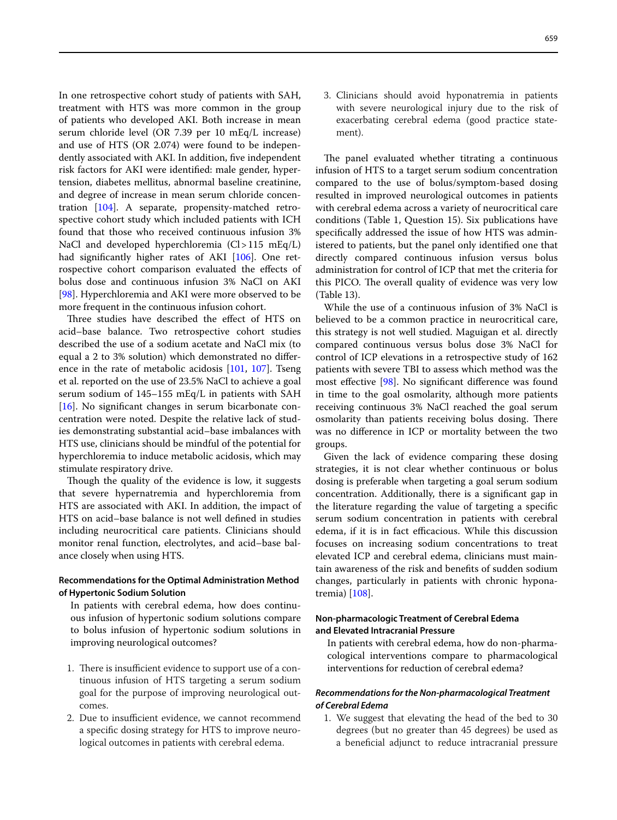In one retrospective cohort study of patients with SAH, treatment with HTS was more common in the group of patients who developed AKI. Both increase in mean serum chloride level (OR 7.39 per 10 mEq/L increase) and use of HTS (OR 2.074) were found to be independently associated with AKI. In addition, fve independent risk factors for AKI were identifed: male gender, hypertension, diabetes mellitus, abnormal baseline creatinine, and degree of increase in mean serum chloride concentration [\[104](#page-17-27)]. A separate, propensity-matched retrospective cohort study which included patients with ICH found that those who received continuous infusion 3% NaCl and developed hyperchloremia (Cl > 115 mEq/L) had significantly higher rates of AKI [\[106](#page-17-29)]. One retrospective cohort comparison evaluated the efects of bolus dose and continuous infusion 3% NaCl on AKI [[98\]](#page-17-22). Hyperchloremia and AKI were more observed to be more frequent in the continuous infusion cohort.

Three studies have described the effect of HTS on acid–base balance. Two retrospective cohort studies described the use of a sodium acetate and NaCl mix (to equal a 2 to 3% solution) which demonstrated no diference in the rate of metabolic acidosis [[101,](#page-17-25) [107](#page-17-30)]. Tseng et al. reported on the use of 23.5% NaCl to achieve a goal serum sodium of 145–155 mEq/L in patients with SAH [[16\]](#page-15-6). No significant changes in serum bicarbonate concentration were noted. Despite the relative lack of studies demonstrating substantial acid–base imbalances with HTS use, clinicians should be mindful of the potential for hyperchloremia to induce metabolic acidosis, which may stimulate respiratory drive.

Though the quality of the evidence is low, it suggests that severe hypernatremia and hyperchloremia from HTS are associated with AKI. In addition, the impact of HTS on acid–base balance is not well defned in studies including neurocritical care patients. Clinicians should monitor renal function, electrolytes, and acid–base balance closely when using HTS.

# **Recommendations for the Optimal Administration Method of Hypertonic Sodium Solution**

In patients with cerebral edema, how does continuous infusion of hypertonic sodium solutions compare to bolus infusion of hypertonic sodium solutions in improving neurological outcomes?

- 1. There is insufficient evidence to support use of a continuous infusion of HTS targeting a serum sodium goal for the purpose of improving neurological outcomes.
- 2. Due to insufficient evidence, we cannot recommend a specifc dosing strategy for HTS to improve neurological outcomes in patients with cerebral edema.

3. Clinicians should avoid hyponatremia in patients with severe neurological injury due to the risk of exacerbating cerebral edema (good practice statement).

The panel evaluated whether titrating a continuous infusion of HTS to a target serum sodium concentration compared to the use of bolus/symptom-based dosing resulted in improved neurological outcomes in patients with cerebral edema across a variety of neurocritical care conditions (Table 1, Question 15). Six publications have specifcally addressed the issue of how HTS was administered to patients, but the panel only identifed one that directly compared continuous infusion versus bolus administration for control of ICP that met the criteria for this PICO. The overall quality of evidence was very low (Table 13).

While the use of a continuous infusion of 3% NaCl is believed to be a common practice in neurocritical care, this strategy is not well studied. Maguigan et al. directly compared continuous versus bolus dose 3% NaCl for control of ICP elevations in a retrospective study of 162 patients with severe TBI to assess which method was the most effective [[98\]](#page-17-22). No significant difference was found in time to the goal osmolarity, although more patients receiving continuous 3% NaCl reached the goal serum osmolarity than patients receiving bolus dosing. There was no diference in ICP or mortality between the two groups.

Given the lack of evidence comparing these dosing strategies, it is not clear whether continuous or bolus dosing is preferable when targeting a goal serum sodium concentration. Additionally, there is a signifcant gap in the literature regarding the value of targeting a specifc serum sodium concentration in patients with cerebral edema, if it is in fact efficacious. While this discussion focuses on increasing sodium concentrations to treat elevated ICP and cerebral edema, clinicians must maintain awareness of the risk and benefts of sudden sodium changes, particularly in patients with chronic hyponatremia) [\[108\]](#page-17-31).

# **Non‑pharmacologic Treatment of Cerebral Edema and Elevated Intracranial Pressure**

In patients with cerebral edema, how do non-pharmacological interventions compare to pharmacological interventions for reduction of cerebral edema?

# *Recommendations for the Non‑pharmacological Treatment of Cerebral Edema*

1. We suggest that elevating the head of the bed to 30 degrees (but no greater than 45 degrees) be used as a benefcial adjunct to reduce intracranial pressure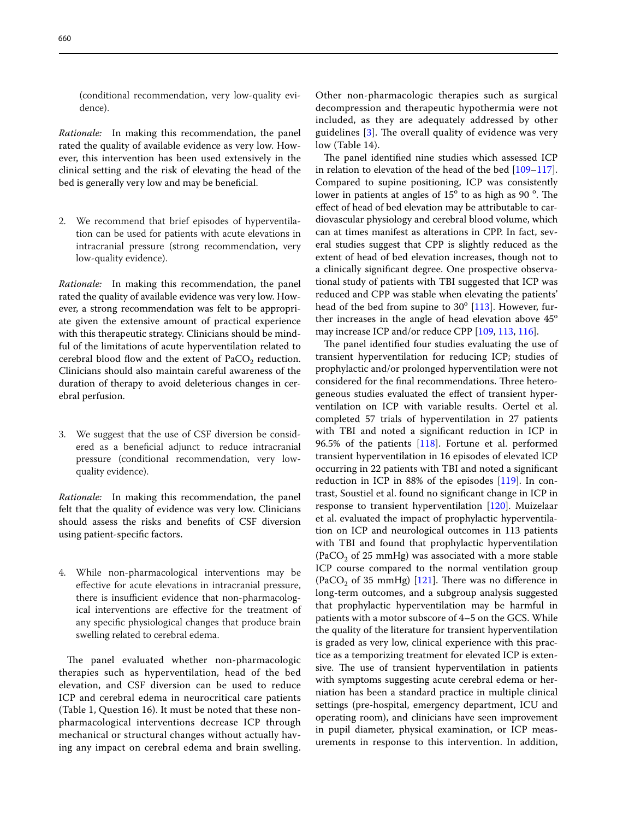(conditional recommendation, very low-quality evidence).

*Rationale:* In making this recommendation, the panel rated the quality of available evidence as very low. However, this intervention has been used extensively in the clinical setting and the risk of elevating the head of the bed is generally very low and may be benefcial.

2. We recommend that brief episodes of hyperventilation can be used for patients with acute elevations in intracranial pressure (strong recommendation, very low-quality evidence).

*Rationale:* In making this recommendation, the panel rated the quality of available evidence was very low. However, a strong recommendation was felt to be appropriate given the extensive amount of practical experience with this therapeutic strategy. Clinicians should be mindful of the limitations of acute hyperventilation related to cerebral blood flow and the extent of  $PaCO<sub>2</sub>$  reduction. Clinicians should also maintain careful awareness of the duration of therapy to avoid deleterious changes in cerebral perfusion.

3. We suggest that the use of CSF diversion be considered as a benefcial adjunct to reduce intracranial pressure (conditional recommendation, very lowquality evidence).

*Rationale:* In making this recommendation, the panel felt that the quality of evidence was very low. Clinicians should assess the risks and benefts of CSF diversion using patient-specifc factors.

4. While non-pharmacological interventions may be efective for acute elevations in intracranial pressure, there is insufficient evidence that non-pharmacological interventions are efective for the treatment of any specifc physiological changes that produce brain swelling related to cerebral edema.

The panel evaluated whether non-pharmacologic therapies such as hyperventilation, head of the bed elevation, and CSF diversion can be used to reduce ICP and cerebral edema in neurocritical care patients (Table 1, Question 16). It must be noted that these nonpharmacological interventions decrease ICP through mechanical or structural changes without actually having any impact on cerebral edema and brain swelling.

Other non-pharmacologic therapies such as surgical decompression and therapeutic hypothermia were not included, as they are adequately addressed by other guidelines  $[3]$  $[3]$ . The overall quality of evidence was very low (Table 14).

The panel identified nine studies which assessed ICP in relation to elevation of the head of the bed [[109](#page-17-32)[–117](#page-17-33)]. Compared to supine positioning, ICP was consistently lower in patients at angles of  $15^{\circ}$  to as high as 90 $^{\circ}$ . The efect of head of bed elevation may be attributable to cardiovascular physiology and cerebral blood volume, which can at times manifest as alterations in CPP. In fact, several studies suggest that CPP is slightly reduced as the extent of head of bed elevation increases, though not to a clinically signifcant degree. One prospective observational study of patients with TBI suggested that ICP was reduced and CPP was stable when elevating the patients' head of the bed from supine to  $30^{\circ}$  [\[113\]](#page-17-34). However, further increases in the angle of head elevation above  $45^{\circ}$ may increase ICP and/or reduce CPP [[109](#page-17-32), [113,](#page-17-34) [116](#page-17-35)].

The panel identified four studies evaluating the use of transient hyperventilation for reducing ICP; studies of prophylactic and/or prolonged hyperventilation were not considered for the final recommendations. Three heterogeneous studies evaluated the efect of transient hyperventilation on ICP with variable results. Oertel et al. completed 57 trials of hyperventilation in 27 patients with TBI and noted a signifcant reduction in ICP in 96.5% of the patients [\[118](#page-18-0)]. Fortune et al. performed transient hyperventilation in 16 episodes of elevated ICP occurring in 22 patients with TBI and noted a signifcant reduction in ICP in 88% of the episodes [\[119](#page-18-1)]. In contrast, Soustiel et al. found no signifcant change in ICP in response to transient hyperventilation [\[120\]](#page-18-2). Muizelaar et al. evaluated the impact of prophylactic hyperventilation on ICP and neurological outcomes in 113 patients with TBI and found that prophylactic hyperventilation (PaCO<sub>2</sub> of 25 mmHg) was associated with a more stable ICP course compared to the normal ventilation group (PaCO<sub>2</sub> of 35 mmHg) [[121\]](#page-18-3). There was no difference in long-term outcomes, and a subgroup analysis suggested that prophylactic hyperventilation may be harmful in patients with a motor subscore of 4–5 on the GCS. While the quality of the literature for transient hyperventilation is graded as very low, clinical experience with this practice as a temporizing treatment for elevated ICP is extensive. The use of transient hyperventilation in patients with symptoms suggesting acute cerebral edema or herniation has been a standard practice in multiple clinical settings (pre-hospital, emergency department, ICU and operating room), and clinicians have seen improvement in pupil diameter, physical examination, or ICP measurements in response to this intervention. In addition,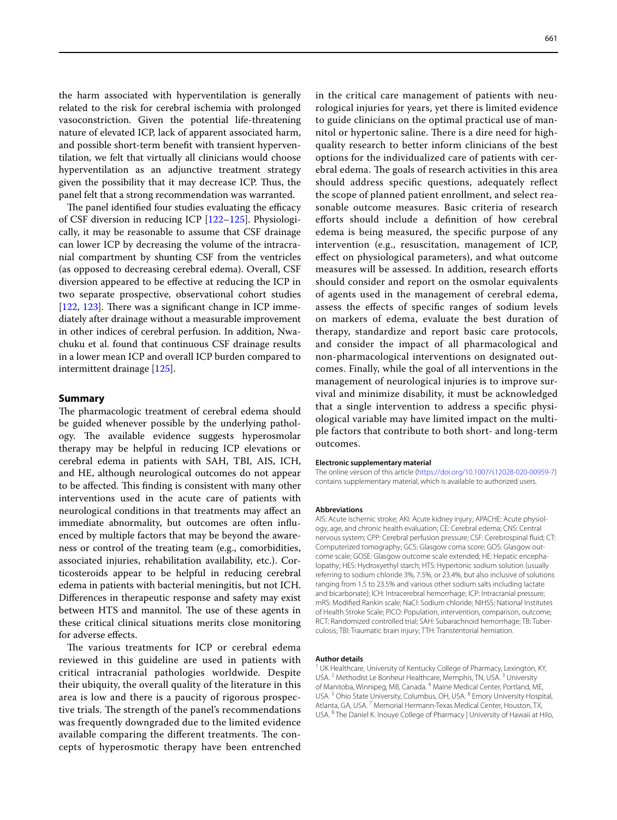the harm associated with hyperventilation is generally related to the risk for cerebral ischemia with prolonged vasoconstriction. Given the potential life-threatening nature of elevated ICP, lack of apparent associated harm, and possible short-term beneft with transient hyperventilation, we felt that virtually all clinicians would choose hyperventilation as an adjunctive treatment strategy given the possibility that it may decrease ICP. Tus, the panel felt that a strong recommendation was warranted.

The panel identified four studies evaluating the efficacy of CSF diversion in reducing ICP [[122–](#page-18-4)[125](#page-18-5)]. Physiologically, it may be reasonable to assume that CSF drainage can lower ICP by decreasing the volume of the intracranial compartment by shunting CSF from the ventricles (as opposed to decreasing cerebral edema). Overall, CSF diversion appeared to be efective at reducing the ICP in two separate prospective, observational cohort studies  $[122, 123]$  $[122, 123]$  $[122, 123]$  $[122, 123]$ . There was a significant change in ICP immediately after drainage without a measurable improvement in other indices of cerebral perfusion. In addition, Nwachuku et al. found that continuous CSF drainage results in a lower mean ICP and overall ICP burden compared to intermittent drainage [\[125](#page-18-5)].

### **Summary**

The pharmacologic treatment of cerebral edema should be guided whenever possible by the underlying pathology. The available evidence suggests hyperosmolar therapy may be helpful in reducing ICP elevations or cerebral edema in patients with SAH, TBI, AIS, ICH, and HE, although neurological outcomes do not appear to be affected. This finding is consistent with many other interventions used in the acute care of patients with neurological conditions in that treatments may afect an immediate abnormality, but outcomes are often infuenced by multiple factors that may be beyond the awareness or control of the treating team (e.g., comorbidities, associated injuries, rehabilitation availability, etc.). Corticosteroids appear to be helpful in reducing cerebral edema in patients with bacterial meningitis, but not ICH. Diferences in therapeutic response and safety may exist between HTS and mannitol. The use of these agents in these critical clinical situations merits close monitoring for adverse efects.

The various treatments for ICP or cerebral edema reviewed in this guideline are used in patients with critical intracranial pathologies worldwide. Despite their ubiquity, the overall quality of the literature in this area is low and there is a paucity of rigorous prospective trials. The strength of the panel's recommendations was frequently downgraded due to the limited evidence available comparing the different treatments. The concepts of hyperosmotic therapy have been entrenched in the critical care management of patients with neurological injuries for years, yet there is limited evidence to guide clinicians on the optimal practical use of mannitol or hypertonic saline. There is a dire need for highquality research to better inform clinicians of the best options for the individualized care of patients with cerebral edema. The goals of research activities in this area should address specifc questions, adequately refect the scope of planned patient enrollment, and select reasonable outcome measures. Basic criteria of research eforts should include a defnition of how cerebral edema is being measured, the specifc purpose of any intervention (e.g., resuscitation, management of ICP, efect on physiological parameters), and what outcome measures will be assessed. In addition, research eforts should consider and report on the osmolar equivalents of agents used in the management of cerebral edema, assess the efects of specifc ranges of sodium levels on markers of edema, evaluate the best duration of therapy, standardize and report basic care protocols, and consider the impact of all pharmacological and non-pharmacological interventions on designated outcomes. Finally, while the goal of all interventions in the management of neurological injuries is to improve survival and minimize disability, it must be acknowledged that a single intervention to address a specifc physiological variable may have limited impact on the multiple factors that contribute to both short- and long-term outcomes.

#### **Electronic supplementary material**

The online version of this article ([https://doi.org/10.1007/s12028-020-00959-7\)](https://doi.org/10.1007/s12028-020-00959-7) contains supplementary material, which is available to authorized users.

#### **Abbreviations**

AIS: Acute ischemic stroke; AKI: Acute kidney injury; APACHE: Acute physiology, age, and chronic health evaluation; CE: Cerebral edema; CNS: Central nervous system; CPP: Cerebral perfusion pressure; CSF: Cerebrospinal fuid; CT: Computerized tomography; GCS: Glasgow coma score; GOS: Glasgow outcome scale; GOSE: Glasgow outcome scale extended; HE: Hepatic encephalopathy; HES: Hydroxyethyl starch; HTS: Hypertonic sodium solution (usually referring to sodium chloride 3%, 7.5%, or 23.4%, but also inclusive of solutions ranging from 1.5 to 23.5% and various other sodium salts including lactate and bicarbonate); ICH: Intracerebral hemorrhage; ICP: Intracranial pressure; mRS: Modifed Rankin scale; NaCl: Sodium chloride; NIHSS: National Institutes of Health Stroke Scale; PICO: Population, intervention, comparison, outcome; RCT: Randomized controlled trial; SAH: Subarachnoid hemorrhage; TB: Tuberculosis; TBI: Traumatic brain injury; TTH: Transtentorial herniation.

#### **Author details**

<sup>1</sup> UK Healthcare, University of Kentucky College of Pharmacy, Lexington, KY, USA. <sup>2</sup> Methodist Le Bonheur Healthcare, Memphis, TN, USA. 3 University of Manitoba, Winnipeg, MB, Canada. 4 Maine Medical Center, Portland, ME, USA. 5 Ohio State University, Columbus, OH, USA. 6 Emory University Hospital, Atlanta, GA, USA.<sup>7</sup> Memorial Hermann-Texas Medical Center, Houston, TX, USA. 8 The Daniel K. Inouye College of Pharmacy | University of Hawaii at Hilo,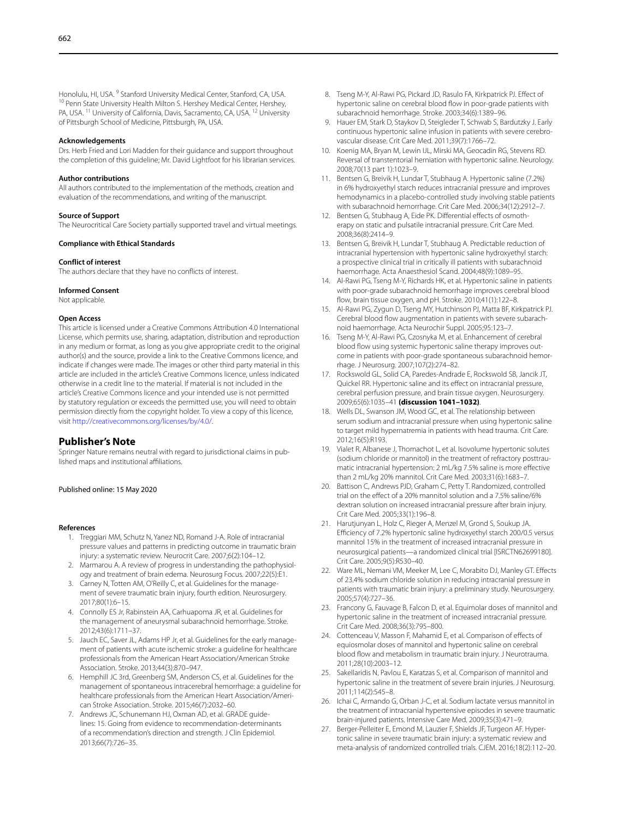Honolulu, HI, USA. <sup>9</sup> Stanford University Medical Center, Stanford, CA, USA.<br><sup>10</sup> Penn State University Health Milton S. Hershey Medical Center, Hershey, PA, USA.<sup>11</sup> University of California, Davis, Sacramento, CA, USA.<sup>12</sup> University of Pittsburgh School of Medicine, Pittsburgh, PA, USA.

#### **Acknowledgements**

Drs. Herb Fried and Lori Madden for their guidance and support throughout the completion of this guideline; Mr. David Lightfoot for his librarian services.

#### **Author contributions**

All authors contributed to the implementation of the methods, creation and evaluation of the recommendations, and writing of the manuscript.

#### **Source of Support**

The Neurocritical Care Society partially supported travel and virtual meetings.

#### **Compliance with Ethical Standards**

#### **Conflict of interest**

The authors declare that they have no conficts of interest.

#### **Informed Consent**

Not applicable.

#### **Open Access**

This article is licensed under a Creative Commons Attribution 4.0 International License, which permits use, sharing, adaptation, distribution and reproduction in any medium or format, as long as you give appropriate credit to the original author(s) and the source, provide a link to the Creative Commons licence, and indicate if changes were made. The images or other third party material in this article are included in the article's Creative Commons licence, unless indicated otherwise in a credit line to the material. If material is not included in the article's Creative Commons licence and your intended use is not permitted by statutory regulation or exceeds the permitted use, you will need to obtain permission directly from the copyright holder. To view a copy of this licence, visit [http://creativecommons.org/licenses/by/4.0/.](http://creativecommons.org/licenses/by/4.0/)

#### **Publisher's Note**

Springer Nature remains neutral with regard to jurisdictional claims in published maps and institutional affiliations.

#### Published online: 15 May 2020

#### <span id="page-15-0"></span>**References**

- 1. Treggiari MM, Schutz N, Yanez ND, Romand J-A. Role of intracranial pressure values and patterns in predicting outcome in traumatic brain injury: a systematic review. Neurocrit Care. 2007;6(2):104–12.
- <span id="page-15-1"></span>2. Marmarou A. A review of progress in understanding the pathophysiology and treatment of brain edema. Neurosurg Focus. 2007;22(5):E1.
- <span id="page-15-2"></span>3. Carney N, Totten AM, O'Reilly C, et al. Guidelines for the management of severe traumatic brain injury, fourth edition. Neurosurgery. 2017;80(1):6–15.
- 4. Connolly ES Jr, Rabinstein AA, Carhuapoma JR, et al. Guidelines for the management of aneurysmal subarachnoid hemorrhage. Stroke. 2012;43(6):1711–37.
- 5. Jauch EC, Saver JL, Adams HP Jr, et al. Guidelines for the early management of patients with acute ischemic stroke: a guideline for healthcare professionals from the American Heart Association/American Stroke Association. Stroke. 2013;44(3):870–947.
- <span id="page-15-3"></span>6. Hemphill JC 3rd, Greenberg SM, Anderson CS, et al. Guidelines for the management of spontaneous intracerebral hemorrhage: a guideline for healthcare professionals from the American Heart Association/American Stroke Association. Stroke. 2015;46(7):2032–60.
- <span id="page-15-4"></span>7. Andrews JC, Schunemann HJ, Oxman AD, et al. GRADE guidelines: 15. Going from evidence to recommendation-determinants of a recommendation's direction and strength. J Clin Epidemiol. 2013;66(7):726–35.
- <span id="page-15-5"></span>8. Tseng M-Y, Al-Rawi PG, Pickard JD, Rasulo FA, Kirkpatrick PJ. Efect of hypertonic saline on cerebral blood flow in poor-grade patients with subarachnoid hemorrhage. Stroke. 2003;34(6):1389–96.
- <span id="page-15-12"></span>9. Hauer EM, Stark D, Staykov D, Steigleder T, Schwab S, Bardutzky J. Early continuous hypertonic saline infusion in patients with severe cerebrovascular disease. Crit Care Med. 2011;39(7):1766–72.
- <span id="page-15-7"></span>10. Koenig MA, Bryan M, Lewin IJL, Mirski MA, Geocadin RG, Stevens RD. Reversal of transtentorial herniation with hypertonic saline. Neurology. 2008;70(13 part 1):1023–9.
- <span id="page-15-9"></span>11. Bentsen G, Breivik H, Lundar T, Stubhaug A. Hypertonic saline (7.2%) in 6% hydroxyethyl starch reduces intracranial pressure and improves hemodynamics in a placebo-controlled study involving stable patients with subarachnoid hemorrhage. Crit Care Med. 2006;34(12):2912–7.
- <span id="page-15-11"></span>12. Bentsen G, Stubhaug A, Eide PK. Differential effects of osmotherapy on static and pulsatile intracranial pressure. Crit Care Med. 2008;36(8):2414–9.
- <span id="page-15-10"></span>13. Bentsen G, Breivik H, Lundar T, Stubhaug A. Predictable reduction of intracranial hypertension with hypertonic saline hydroxyethyl starch: a prospective clinical trial in critically ill patients with subarachnoid haemorrhage. Acta Anaesthesiol Scand. 2004;48(9):1089–95.
- <span id="page-15-8"></span>14. Al-Rawi PG, Tseng M-Y, Richards HK, et al. Hypertonic saline in patients with poor-grade subarachnoid hemorrhage improves cerebral blood fow, brain tissue oxygen, and pH. Stroke. 2010;41(1):122–8.
- 15. Al-Rawi PG, Zygun D, Tseng MY, Hutchinson PJ, Matta BF, Kirkpatrick PJ. Cerebral blood flow augmentation in patients with severe subarachnoid haemorrhage. Acta Neurochir Suppl. 2005;95:123–7.
- <span id="page-15-6"></span>16. Tseng M-Y, Al-Rawi PG, Czosnyka M, et al. Enhancement of cerebral blood flow using systemic hypertonic saline therapy improves outcome in patients with poor-grade spontaneous subarachnoid hemorrhage. J Neurosurg. 2007;107(2):274–82.
- <span id="page-15-13"></span>17. Rockswold GL, Solid CA, Paredes-Andrade E, Rockswold SB, Jancik JT, Quickel RR. Hypertonic saline and its effect on intracranial pressure, cerebral perfusion pressure, and brain tissue oxygen. Neurosurgery. 2009;65(6):1035–41 **(discussion 1041–1032)**.
- <span id="page-15-14"></span>18. Wells DL, Swanson JM, Wood GC, et al. The relationship between serum sodium and intracranial pressure when using hypertonic saline to target mild hypernatremia in patients with head trauma. Crit Care. 2012;16(5):R193.
- <span id="page-15-15"></span>19. Vialet R, Albanese J, Thomachot L, et al. Isovolume hypertonic solutes (sodium chloride or mannitol) in the treatment of refractory posttraumatic intracranial hypertension: 2 mL/kg 7.5% saline is more efective than 2 mL/kg 20% mannitol. Crit Care Med. 2003;31(6):1683–7.
- <span id="page-15-17"></span>20. Battison C, Andrews PJD, Graham C, Petty T. Randomized, controlled trial on the efect of a 20% mannitol solution and a 7.5% saline/6% dextran solution on increased intracranial pressure after brain injury. Crit Care Med. 2005;33(1):196–8.
- <span id="page-15-20"></span>21. Harutjunyan L, Holz C, Rieger A, Menzel M, Grond S, Soukup JA. Efficiency of 7.2% hypertonic saline hydroxyethyl starch 200/0.5 versus mannitol 15% in the treatment of increased intracranial pressure in neurosurgical patients—a randomized clinical trial [ISRCTN62699180]. Crit Care. 2005;9(5):R530–40.
- <span id="page-15-18"></span>22. Ware ML, Nemani VM, Meeker M, Lee C, Morabito DJ, Manley GT. Efects of 23.4% sodium chloride solution in reducing intracranial pressure in patients with traumatic brain injury: a preliminary study. Neurosurgery. 2005;57(4):727–36.
- 23. Francony G, Fauvage B, Falcon D, et al. Equimolar doses of mannitol and hypertonic saline in the treatment of increased intracranial pressure. Crit Care Med. 2008;36(3):795–800.
- <span id="page-15-21"></span>24. Cottenceau V, Masson F, Mahamid E, et al. Comparison of effects of equiosmolar doses of mannitol and hypertonic saline on cerebral blood fow and metabolism in traumatic brain injury. J Neurotrauma. 2011;28(10):2003–12.
- 25. Sakellaridis N, Pavlou E, Karatzas S, et al. Comparison of mannitol and hypertonic saline in the treatment of severe brain injuries. J Neurosurg. 2011;114(2):545–8.
- <span id="page-15-16"></span>26. Ichai C, Armando G, Orban J-C, et al. Sodium lactate versus mannitol in the treatment of intracranial hypertensive episodes in severe traumatic brain-injured patients. Intensive Care Med. 2009;35(3):471–9.
- <span id="page-15-19"></span>27. Berger-Pelleiter E, Emond M, Lauzier F, Shields JF, Turgeon AF. Hypertonic saline in severe traumatic brain injury: a systematic review and meta-analysis of randomized controlled trials. CJEM. 2016;18(2):112–20.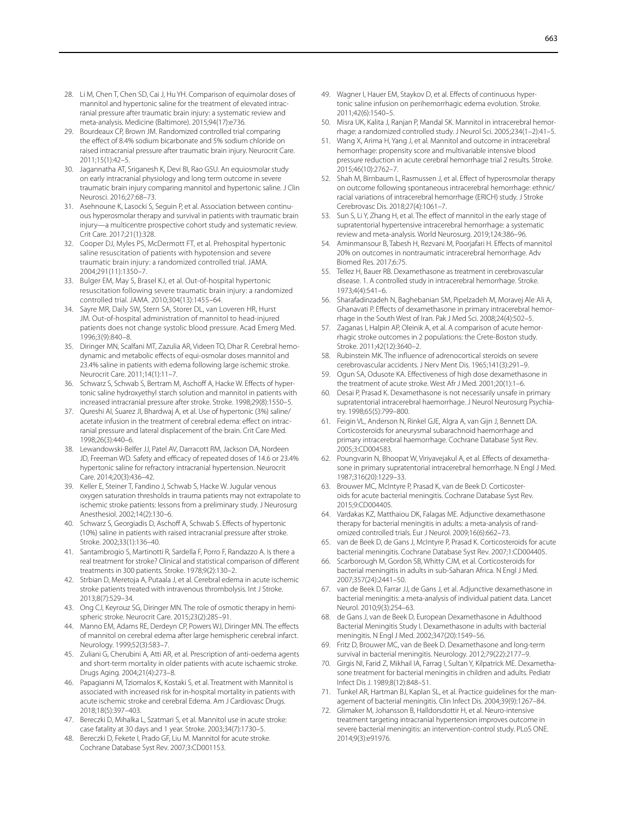- <span id="page-16-0"></span>28. Li M, Chen T, Chen SD, Cai J, Hu YH. Comparison of equimolar doses of mannitol and hypertonic saline for the treatment of elevated intracranial pressure after traumatic brain injury: a systematic review and meta-analysis. Medicine (Baltimore). 2015;94(17):e736.
- <span id="page-16-1"></span>29. Bourdeaux CP, Brown JM. Randomized controlled trial comparing the effect of 8.4% sodium bicarbonate and 5% sodium chloride on raised intracranial pressure after traumatic brain injury. Neurocrit Care. 2011;15(1):42–5.
- <span id="page-16-2"></span>Jagannatha AT, Sriganesh K, Devi BI, Rao GSU. An equiosmolar study on early intracranial physiology and long term outcome in severe traumatic brain injury comparing mannitol and hypertonic saline. J Clin Neurosci. 2016;27:68–73.
- <span id="page-16-3"></span>31. Asehnoune K, Lasocki S, Seguin P, et al. Association between continuous hyperosmolar therapy and survival in patients with traumatic brain injury—a multicentre prospective cohort study and systematic review. Crit Care. 2017;21(1):328.
- <span id="page-16-4"></span>32. Cooper DJ, Myles PS, McDermott FT, et al. Prehospital hypertonic saline resuscitation of patients with hypotension and severe traumatic brain injury: a randomized controlled trial. JAMA. 2004;291(11):1350–7.
- <span id="page-16-5"></span>33. Bulger EM, May S, Brasel KJ, et al. Out-of-hospital hypertonic resuscitation following severe traumatic brain injury: a randomized controlled trial. JAMA. 2010;304(13):1455–64.
- <span id="page-16-6"></span>34. Sayre MR, Daily SW, Stern SA, Storer DL, van Loveren HR, Hurst JM. Out-of-hospital administration of mannitol to head-injured patients does not change systolic blood pressure. Acad Emerg Med. 1996;3(9):840–8.
- <span id="page-16-7"></span>35. Diringer MN, Scalfani MT, Zazulia AR, Videen TO, Dhar R. Cerebral hemodynamic and metabolic efects of equi-osmolar doses mannitol and 23.4% saline in patients with edema following large ischemic stroke. Neurocrit Care. 2011;14(1):11–7.
- <span id="page-16-8"></span>36. Schwarz S, Schwab S, Bertram M, Aschoff A, Hacke W. Effects of hypertonic saline hydroxyethyl starch solution and mannitol in patients with increased intracranial pressure after stroke. Stroke. 1998;29(8):1550–5.
- <span id="page-16-11"></span>37. Qureshi AI, Suarez JI, Bhardwaj A, et al. Use of hypertonic (3%) saline/ acetate infusion in the treatment of cerebral edema: effect on intracranial pressure and lateral displacement of the brain. Crit Care Med. 1998;26(3):440–6.
- 38. Lewandowski-Belfer JJ, Patel AV, Darracott RM, Jackson DA, Nordeen JD, Freeman WD. Safety and efficacy of repeated doses of 14.6 or 23.4% hypertonic saline for refractory intracranial hypertension. Neurocrit Care. 2014;20(3):436–42.
- <span id="page-16-9"></span>39. Keller E, Steiner T, Fandino J, Schwab S, Hacke W. Jugular venous oxygen saturation thresholds in trauma patients may not extrapolate to ischemic stroke patients: lessons from a preliminary study. J Neurosurg Anesthesiol. 2002;14(2):130–6.
- <span id="page-16-10"></span>40. Schwarz S, Georgiadis D, Aschoff A, Schwab S. Effects of hypertonic (10%) saline in patients with raised intracranial pressure after stroke. Stroke. 2002;33(1):136–40.
- <span id="page-16-12"></span>41. Santambrogio S, Martinotti R, Sardella F, Porro F, Randazzo A. Is there a real treatment for stroke? Clinical and statistical comparison of diferent treatments in 300 patients. Stroke. 1978;9(2):130–2.
- <span id="page-16-13"></span>42. Strbian D, Meretoja A, Putaala J, et al. Cerebral edema in acute ischemic stroke patients treated with intravenous thrombolysis. Int J Stroke. 2013;8(7):529–34.
- <span id="page-16-14"></span>43. Ong CJ, Keyrouz SG, Diringer MN. The role of osmotic therapy in hemispheric stroke. Neurocrit Care. 2015;23(2):285–91.
- <span id="page-16-15"></span>44. Manno EM, Adams RE, Derdeyn CP, Powers WJ, Diringer MN. The efects of mannitol on cerebral edema after large hemispheric cerebral infarct. Neurology. 1999;52(3):583–7.
- <span id="page-16-17"></span>45. Zuliani G, Cherubini A, Atti AR, et al. Prescription of anti-oedema agents and short-term mortality in older patients with acute ischaemic stroke. Drugs Aging. 2004;21(4):273–8.
- <span id="page-16-19"></span>46. Papagianni M, Tziomalos K, Kostaki S, et al. Treatment with Mannitol is associated with increased risk for in-hospital mortality in patients with acute ischemic stroke and cerebral Edema. Am J Cardiovasc Drugs. 2018;18(5):397–403.
- <span id="page-16-16"></span>47. Bereczki D, Mihalka L, Szatmari S, et al. Mannitol use in acute stroke: case fatality at 30 days and 1 year. Stroke. 2003;34(7):1730–5.
- <span id="page-16-18"></span>Bereczki D, Fekete I, Prado GF, Liu M. Mannitol for acute stroke. Cochrane Database Syst Rev. 2007;3:CD001153.
- <span id="page-16-20"></span>49. Wagner I, Hauer EM, Staykov D, et al. Effects of continuous hypertonic saline infusion on perihemorrhagic edema evolution. Stroke. 2011;42(6):1540–5.
- <span id="page-16-21"></span>50. Misra UK, Kalita J, Ranjan P, Mandal SK. Mannitol in intracerebral hemorrhage: a randomized controlled study. J Neurol Sci. 2005;234(1–2):41–5.
- 51. Wang X, Arima H, Yang J, et al. Mannitol and outcome in intracerebral hemorrhage: propensity score and multivariable intensive blood pressure reduction in acute cerebral hemorrhage trial 2 results. Stroke. 2015;46(10):2762–7.
- <span id="page-16-22"></span>52. Shah M, Birnbaum L, Rasmussen J, et al. Efect of hyperosmolar therapy on outcome following spontaneous intracerebral hemorrhage: ethnic/ racial variations of intracerebral hemorrhage (ERICH) study. J Stroke Cerebrovasc Dis. 2018;27(4):1061–7.
- <span id="page-16-23"></span>53. Sun S, Li Y, Zhang H, et al. The effect of mannitol in the early stage of supratentorial hypertensive intracerebral hemorrhage: a systematic review and meta-analysis. World Neurosurg. 2019;124:386–96.
- <span id="page-16-24"></span>54. Aminmansour B, Tabesh H, Rezvani M, Poorjafari H. Efects of mannitol 20% on outcomes in nontraumatic intracerebral hemorrhage. Adv Biomed Res. 2017;6:75.
- <span id="page-16-25"></span>55. Tellez H, Bauer RB. Dexamethasone as treatment in cerebrovascular disease. 1. A controlled study in intracerebral hemorrhage. Stroke. 1973;4(4):541–6.
- <span id="page-16-28"></span>56. Sharafadinzadeh N, Baghebanian SM, Pipelzadeh M, Moravej Ale Ali A, Ghanavati P. Efects of dexamethasone in primary intracerebral hemorrhage in the South West of Iran. Pak J Med Sci. 2008;24(4):502–5.
- <span id="page-16-29"></span>Zaganas I, Halpin AP, Oleinik A, et al. A comparison of acute hemorrhagic stroke outcomes in 2 populations: the Crete-Boston study. Stroke. 2011;42(12):3640–2.
- 58. Rubinstein MK. The infuence of adrenocortical steroids on severe cerebrovascular accidents. J Nerv Ment Dis. 1965;141(3):291–9.
- Ogun SA, Odusote KA. Effectiveness of high dose dexamethasone in the treatment of acute stroke. West Afr J Med. 2001;20(1):1–6.
- <span id="page-16-30"></span>60. Desai P, Prasad K. Dexamethasone is not necessarily unsafe in primary supratentorial intracerebral haemorrhage. J Neurol Neurosurg Psychiatry. 1998;65(5):799–800.
- <span id="page-16-27"></span>61. Feigin VL, Anderson N, Rinkel GJE, Algra A, van Gijn J, Bennett DA. Corticosteroids for aneurysmal subarachnoid haemorrhage and primary intracerebral haemorrhage. Cochrane Database Syst Rev. 2005;3:CD004583.
- <span id="page-16-26"></span>62. Poungvarin N, Bhoopat W, Viriyavejakul A, et al. Efects of dexamethasone in primary supratentorial intracerebral hemorrhage. N Engl J Med. 1987;316(20):1229–33.
- <span id="page-16-31"></span>Brouwer MC, McIntyre P, Prasad K, van de Beek D. Corticosteroids for acute bacterial meningitis. Cochrane Database Syst Rev. 2015;9:CD004405.
- <span id="page-16-33"></span>64. Vardakas KZ, Matthaiou DK, Falagas ME. Adjunctive dexamethasone therapy for bacterial meningitis in adults: a meta-analysis of randomized controlled trials. Eur J Neurol. 2009;16(6):662–73.
- <span id="page-16-32"></span>65. van de Beek D, de Gans J, McIntyre P, Prasad K. Corticosteroids for acute bacterial meningitis. Cochrane Database Syst Rev. 2007;1:CD004405.
- <span id="page-16-34"></span>66. Scarborough M, Gordon SB, Whitty CJM, et al. Corticosteroids for bacterial meningitis in adults in sub-Saharan Africa. N Engl J Med. 2007;357(24):2441–50.
- <span id="page-16-35"></span>67. van de Beek D, Farrar JJ, de Gans J, et al. Adjunctive dexamethasone in bacterial meningitis: a meta-analysis of individual patient data. Lancet Neurol. 2010;9(3):254–63.
- <span id="page-16-36"></span>68. de Gans J, van de Beek D, European Dexamethasone in Adulthood Bacterial Meningitis Study I. Dexamethasone in adults with bacterial meningitis. N Engl J Med. 2002;347(20):1549–56.
- <span id="page-16-37"></span>69. Fritz D, Brouwer MC, van de Beek D. Dexamethasone and long-term survival in bacterial meningitis. Neurology. 2012;79(22):2177–9.
- <span id="page-16-38"></span>70. Girgis NI, Farid Z, Mikhail IA, Farrag I, Sultan Y, Kilpatrick ME. Dexamethasone treatment for bacterial meningitis in children and adults. Pediatr Infect Dis J. 1989;8(12):848–51.
- <span id="page-16-39"></span>71. Tunkel AR, Hartman BJ, Kaplan SL, et al. Practice guidelines for the management of bacterial meningitis. Clin Infect Dis. 2004;39(9):1267–84.
- <span id="page-16-40"></span>72. Glimaker M, Johansson B, Halldorsdottir H, et al. Neuro-intensive treatment targeting intracranial hypertension improves outcome in severe bacterial meningitis: an intervention-control study. PLoS ONE. 2014;9(3):e91976.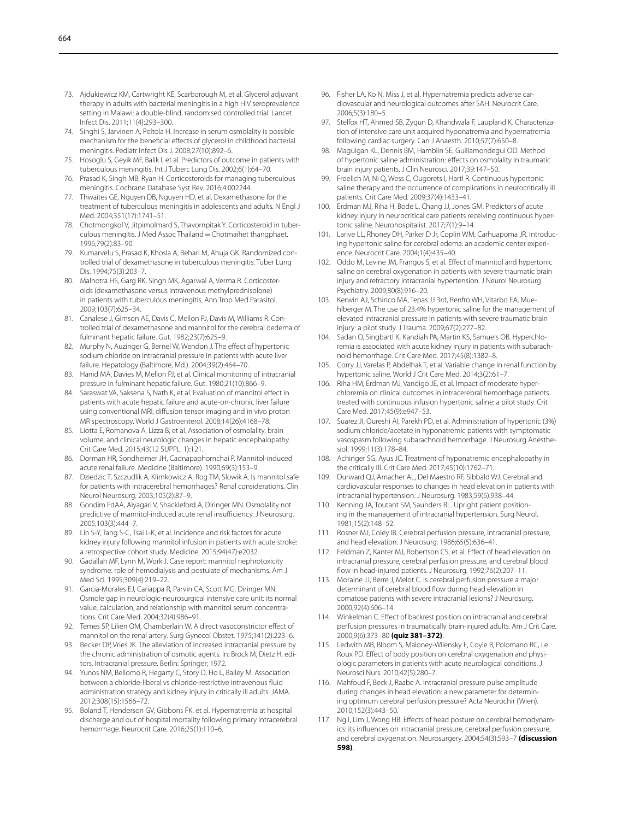- <span id="page-17-0"></span>73. Ajdukiewicz KM, Cartwright KE, Scarborough M, et al. Glycerol adjuvant therapy in adults with bacterial meningitis in a high HIV seroprevalence setting in Malawi: a double-blind, randomised controlled trial. Lancet Infect Dis. 2011;11(4):293–300.
- <span id="page-17-1"></span>74. Singhi S, Jarvinen A, Peltola H. Increase in serum osmolality is possible mechanism for the benefcial efects of glycerol in childhood bacterial meningitis. Pediatr Infect Dis J. 2008;27(10):892–6.
- <span id="page-17-2"></span>75. Hosoglu S, Geyik MF, Balik I, et al. Predictors of outcome in patients with tuberculous meningitis. Int J Tuberc Lung Dis. 2002;6(1):64–70.
- <span id="page-17-3"></span>76. Prasad K, Singh MB, Ryan H. Corticosteroids for managing tuberculous meningitis. Cochrane Database Syst Rev. 2016;4:002244.
- <span id="page-17-4"></span>77. Thwaites GE, Nguyen DB, Nguyen HD, et al. Dexamethasone for the treatment of tuberculous meningitis in adolescents and adults. N Engl J Med. 2004;351(17):1741–51.
- <span id="page-17-5"></span>78. Chotmongkol V, Jitpimolmard S, Thavornpitak Y. Corticosteroid in tuberculous meningitis. J Med Assoc Thailand = Chotmaihet thangphaet. 1996;79(2):83–90.
- 79. Kumarvelu S, Prasad K, Khosla A, Behari M, Ahuja GK. Randomized controlled trial of dexamethasone in tuberculous meningitis. Tuber Lung Dis. 1994;75(3):203–7.
- <span id="page-17-6"></span>80. Malhotra HS, Garg RK, Singh MK, Agarwal A, Verma R. Corticosteroids (dexamethasone versus intravenous methylprednisolone) in patients with tuberculous meningitis. Ann Trop Med Parasitol. 2009;103(7):625–34.
- <span id="page-17-7"></span>81. Canalese J, Gimson AE, Davis C, Mellon PJ, Davis M, Williams R. Controlled trial of dexamethasone and mannitol for the cerebral oedema of fulminant hepatic failure. Gut. 1982;23(7):625–9.
- <span id="page-17-10"></span>82. Murphy N, Auzinger G, Bernel W, Wendon J. The effect of hypertonic sodium chloride on intracranial pressure in patients with acute liver failure. Hepatology (Baltimore, Md.). 2004;39(2):464–70.
- <span id="page-17-9"></span>83. Hanid MA, Davies M, Mellon PJ, et al. Clinical monitoring of intracranial pressure in fulminant hepatic failure. Gut. 1980;21(10):866–9.
- <span id="page-17-11"></span>84. Saraswat VA, Saksena S, Nath K, et al. Evaluation of mannitol effect in patients with acute hepatic failure and acute-on-chronic liver failure using conventional MRI, difusion tensor imaging and in vivo proton MR spectroscopy. World J Gastroenterol. 2008;14(26):4168–78.
- <span id="page-17-8"></span>85. Liotta E, Romanova A, Lizza B, et al. Association of osmolality, brain volume, and clinical neurologic changes in hepatic encephalopathy. Crit Care Med. 2015;43(12 SUPPL. 1):121.
- <span id="page-17-12"></span>86. Dorman HR, Sondheimer JH, Cadnapaphornchai P. Mannitol-induced acute renal failure. Medicine (Baltimore). 1990;69(3):153–9.
- <span id="page-17-18"></span>87. Dziedzic T, Szczudlik A, Klimkowicz A, Rog TM, Slowik A. Is mannitol safe for patients with intracerebral hemorrhages? Renal considerations. Clin Neurol Neurosurg. 2003;105(2):87–9.
- <span id="page-17-13"></span>88. Gondim FdAA, Aiyagari V, Shackleford A, Diringer MN. Osmolality not predictive of mannitol-induced acute renal insufficiency. J Neurosurg. 2005;103(3):444–7.
- <span id="page-17-14"></span>89. Lin S-Y, Tang S-C, Tsai L-K, et al. Incidence and risk factors for acute kidney injury following mannitol infusion in patients with acute stroke: a retrospective cohort study. Medicine. 2015;94(47):e2032.
- <span id="page-17-15"></span>90. Gadallah MF, Lynn M, Work J. Case report: mannitol nephrotoxicity syndrome: role of hemodialysis and postulate of mechanisms. Am J Med Sci. 1995;309(4):219–22.
- <span id="page-17-16"></span>91. Garcia-Morales EJ, Cariappa R, Parvin CA, Scott MG, Diringer MN. Osmole gap in neurologic-neurosurgical intensive care unit: its normal value, calculation, and relationship with mannitol serum concentrations. Crit Care Med. 2004;32(4):986–91.
- <span id="page-17-17"></span>92. Temes SP, Lilien OM, Chamberlain W. A direct vasoconstrictor efect of mannitol on the renal artery. Surg Gynecol Obstet. 1975;141(2):223–6.
- <span id="page-17-19"></span>Becker DP, Vries JK. The alleviation of increased intracranial pressure by the chronic administration of osmotic agents. In: Brock M, Dietz H, editors. Intracranial pressure. Berlin: Springer; 1972.
- <span id="page-17-20"></span>Yunos NM, Bellomo R, Hegarty C, Story D, Ho L, Bailey M. Association between a chloride-liberal vs chloride-restrictive intravenous fuid administration strategy and kidney injury in critically ill adults. JAMA. 2012;308(15):1566–72.
- 95. Boland T, Henderson GV, Gibbons FK, et al. Hypernatremia at hospital discharge and out of hospital mortality following primary intracerebral hemorrhage. Neurocrit Care. 2016;25(1):110–6.
- 96. Fisher LA, Ko N, Miss J, et al. Hypernatremia predicts adverse cardiovascular and neurological outcomes after SAH. Neurocrit Care. 2006;5(3):180–5.
- <span id="page-17-21"></span>97. Stelfox HT, Ahmed SB, Zygun D, Khandwala F, Laupland K. Characterization of intensive care unit acquired hyponatremia and hypernatremia following cardiac surgery. Can J Anaesth. 2010;57(7):650–8.
- <span id="page-17-22"></span>98. Maguigan KL, Dennis BM, Hamblin SE, Guillamondegui OD. Method of hypertonic saline administration: efects on osmolality in traumatic brain injury patients. J Clin Neurosci. 2017;39:147–50.
- <span id="page-17-23"></span>99. Froelich M, Ni Q, Wess C, Ougorets I, Hartl R. Continuous hypertonic saline therapy and the occurrence of complications in neurocritically ill patients. Crit Care Med. 2009;37(4):1433–41.
- <span id="page-17-24"></span>100. Erdman MJ, Riha H, Bode L, Chang JJ, Jones GM. Predictors of acute kidney injury in neurocritical care patients receiving continuous hypertonic saline. Neurohospitalist. 2017;7(1):9–14.
- <span id="page-17-25"></span>101. Larive LL, Rhoney DH, Parker D Jr, Coplin WM, Carhuapoma JR. Introducing hypertonic saline for cerebral edema: an academic center experience. Neurocrit Care. 2004;1(4):435–40.
- 102. Oddo M, Levine JM, Frangos S, et al. Efect of mannitol and hypertonic saline on cerebral oxygenation in patients with severe traumatic brain injury and refractory intracranial hypertension. J Neurol Neurosurg Psychiatry. 2009;80(8):916–20.
- <span id="page-17-26"></span>103. Kerwin AJ, Schinco MA, Tepas JJ 3rd, Renfro WH, Vitarbo EA, Muehlberger M. The use of 23.4% hypertonic saline for the management of elevated intracranial pressure in patients with severe traumatic brain injury: a pilot study. J Trauma. 2009;67(2):277–82.
- <span id="page-17-27"></span>104. Sadan O, Singbartl K, Kandiah PA, Martin KS, Samuels OB. Hyperchloremia is associated with acute kidney injury in patients with subarachnoid hemorrhage. Crit Care Med. 2017;45(8):1382–8.
- <span id="page-17-28"></span>105. Corry JJ, Varelas P, Abdelhak T, et al. Variable change in renal function by hypertonic saline. World J Crit Care Med. 2014;3(2):61–7.
- <span id="page-17-29"></span>106. Riha HM, Erdman MJ, Vandigo JE, et al. Impact of moderate hyperchloremia on clinical outcomes in intracerebral hemorrhage patients treated with continuous infusion hypertonic saline: a pilot study. Crit Care Med. 2017;45(9):e947–53.
- <span id="page-17-30"></span>107. Suarez JI, Qureshi AI, Parekh PD, et al. Administration of hypertonic (3%) sodium chloride/acetate in hyponatremic patients with symptomatic vasospasm following subarachnoid hemorrhage. J Neurosurg Anesthesiol. 1999;11(3):178–84.
- <span id="page-17-31"></span>108. Achinger SG, Ayus JC. Treatment of hyponatremic encephalopathy in the critically Ill. Crit Care Med. 2017;45(10):1762–71.
- <span id="page-17-32"></span>109. Durward QJ, Amacher AL, Del Maestro RF, Sibbald WJ. Cerebral and cardiovascular responses to changes in head elevation in patients with intracranial hypertension. J Neurosurg. 1983;59(6):938–44.
- 110. Kenning JA, Toutant SM, Saunders RL. Upright patient positioning in the management of intracranial hypertension. Surg Neurol. 1981;15(2):148–52.
- 111. Rosner MJ, Coley IB. Cerebral perfusion pressure, intracranial pressure, and head elevation. J Neurosurg. 1986;65(5):636–41.
- 112. Feldman Z, Kanter MJ, Robertson CS, et al. Efect of head elevation on intracranial pressure, cerebral perfusion pressure, and cerebral blood fow in head-injured patients. J Neurosurg. 1992;76(2):207–11.
- <span id="page-17-34"></span>113. Moraine JJ, Berre J, Melot C. Is cerebral perfusion pressure a major determinant of cerebral blood fow during head elevation in comatose patients with severe intracranial lesions? J Neurosurg. 2000;92(4):606–14.
- 114. Winkelman C. Efect of backrest position on intracranial and cerebral perfusion pressures in traumatically brain-injured adults. Am J Crit Care. 2000;9(6):373–80 **(quiz 381–372)**.
- 115. Ledwith MB, Bloom S, Maloney-Wilensky E, Coyle B, Polomano RC, Le Roux PD. Efect of body position on cerebral oxygenation and physiologic parameters in patients with acute neurological conditions. J Neurosci Nurs. 2010;42(5):280–7.
- <span id="page-17-35"></span>116. Mahfoud F, Beck J, Raabe A. Intracranial pressure pulse amplitude during changes in head elevation: a new parameter for determining optimum cerebral perfusion pressure? Acta Neurochir (Wien). 2010;152(3):443–50.
- <span id="page-17-33"></span>117. Ng I, Lim J, Wong HB. Efects of head posture on cerebral hemodynamics: its infuences on intracranial pressure, cerebral perfusion pressure, and cerebral oxygenation. Neurosurgery. 2004;54(3):593–7 **(discussion 598)**.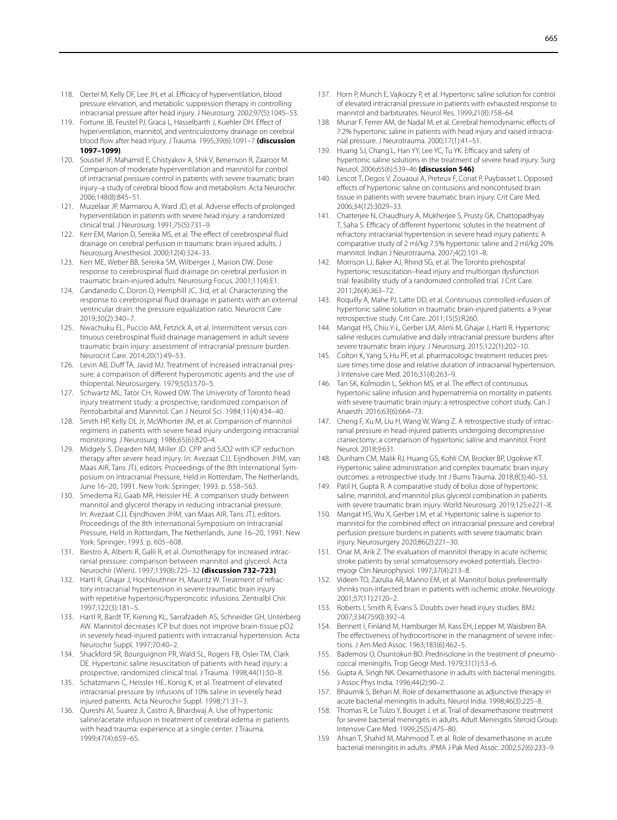- <span id="page-18-0"></span>118. Oertel M, Kelly DF, Lee JH, et al. Efficacy of hyperventilation, blood pressure elevation, and metabolic suppression therapy in controlling intracranial pressure after head injury. J Neurosurg. 2002;97(5):1045–53.
- <span id="page-18-1"></span>119. Fortune JB, Feustel PJ, Graca L, Hasselbarth J, Kuehler DH. Efect of hyperventilation, mannitol, and ventriculostomy drainage on cerebral blood fow after head injury. J Trauma. 1995;39(6):1091–7 **(discussion 1097–1099)**.
- <span id="page-18-2"></span>120. Soustiel JF, Mahamid E, Chistyakov A, Shik V, Benenson R, Zaaroor M. Comparison of moderate hyperventilation and mannitol for control of intracranial pressure control in patients with severe traumatic brain injury-a study of cerebral blood flow and metabolism. Acta Neurochir. 2006;148(8):845–51.
- <span id="page-18-3"></span>121. Muizelaar JP, Marmarou A, Ward JD, et al. Adverse efects of prolonged hyperventilation in patients with severe head injury: a randomized clinical trial. J Neurosurg. 1991;75(5):731–9.
- <span id="page-18-4"></span>122. Kerr EM, Marion D, Sereika MS, et al. The effect of cerebrospinal fluid drainage on cerebral perfusion in traumatic brain injured adults. J Neurosurg Anesthesiol. 2000;12(4):324–33.
- <span id="page-18-6"></span>123. Kerr ME, Weber BB, Sereika SM, Wilberger J, Marion DW. Dose response to cerebrospinal fuid drainage on cerebral perfusion in traumatic brain-injured adults. Neurosurg Focus. 2001;11(4):E1.
- 124. Candanedo C, Doron O, Hemphill JC, 3rd, et al. Characterizing the response to cerebrospinal fuid drainage in patients with an external ventricular drain: the pressure equalization ratio. Neurocrit Care 2019;30(2):340–7.
- <span id="page-18-5"></span>125. Nwachuku EL, Puccio AM, Fetzick A, et al. Intermittent versus continuous cerebrospinal fuid drainage management in adult severe traumatic brain injury: assessment of intracranial pressure burden. Neurocrit Care. 2014;20(1):49–53.
- 126. Levin AB, Duff TA, Javid MJ. Treatment of increased intracranial pressure: a comparison of diferent hyperosmotic agents and the use of thiopental. Neurosurgery. 1979;5(5):570–5.
- 127. Schwartz ML, Tator CH, Rowed DW. The University of Toronto head injury treatment study: a prospective, randomized comparison of Pentobarbital and Mannitol. Can J Neurol Sci. 1984;11(4):434–40.
- 128. Smith HP, Kelly DL Jr, McWhorter JM, et al. Comparison of mannitol regimens in patients with severe head injury undergoing intracranial monitoring. J Neurosurg. 1986;65(6):820–4.
- 129. Midgely S, Dearden NM, Miller JD. CPP and SJO2 with ICP reduction therapy after severe head injury. In: Avezaat CJJ, Eijndhoven JHM, van Maas AIR, Tans JTJ, editors. Proceedings of the 8th International Symposium on Intracranial Pressure, Held in Rotterdam, The Netherlands, June 16–20, 1991. New York: Springer; 1993. p. 558–563.
- 130. Smedema RJ, Gaab MR, Heissler HE. A comparison study between mannitol and glycerol therapy in reducing intracranial pressure. In: Avezaat CJJ, Eijndhoven JHM, van Maas AIR, Tans JTJ, editors. Proceedings of the 8th International Symposium on Intracranial Pressure, Held in Rotterdam, The Netherlands, June 16–20, 1991. New York: Springer; 1993. p. 605–608.
- 131. Biestro A, Alberti R, Galli R, et al. Osmotherapy for increased intracranial pressure: comparison between mannitol and glycerol. Acta Neurochir (Wien). 1997;139(8):725–32 **(discussion 732–723)**.
- 132. Hartl R, Ghajar J, Hochleuthner H, Mauritz W. Treatment of refractory intracranial hypertension in severe traumatic brain injury with repetitive hypertonic/hyperoncotic infusions. Zentralbl Chir. 1997;122(3):181–5.
- 133. Hartl R, Bardt TF, Kiening KL, Sarrafzadeh AS, Schneider GH, Unterberg AW. Mannitol decreases ICP but does not improve brain-tissue pO2 in severely head-injured patients with intracranial hypertension. Acta Neurochir Suppl. 1997;70:40–2.
- 134. Shackford SR, Bourguignon PR, Wald SL, Rogers FB, Osler TM, Clark DE. Hypertonic saline resuscitation of patients with head injury: a prospective, randomized clinical trial. J Trauma. 1998;44(1):50–8.
- 135. Schatzmann C, Heissler HE, Konig K, et al. Treatment of elevated intracranial pressure by infusions of 10% saline in severely head injured patients. Acta Neurochir Suppl. 1998;71:31–3.
- 136. Qureshi AI, Suarez JI, Castro A, Bhardwaj A. Use of hypertonic saline/acetate infusion in treatment of cerebral edema in patients with head trauma: experience at a single center. J Trauma. 1999;47(4):659–65.
- 137. Horn P, Munch E, Vajkoczy P, et al. Hypertonic saline solution for control of elevated intracranial pressure in patients with exhausted response to mannitol and barbiturates. Neurol Res. 1999;21(8):758–64.
- 138. Munar F, Ferrer AM, de Nadal M, et al. Cerebral hemodynamic effects of 7.2% hypertonic saline in patients with head injury and raised intracranial pressure. J Neurotrauma. 2000;17(1):41–51.
- 139. Huang SJ, Chang L, Han YY, Lee YC, Tu YK. Efficacy and safety of hypertonic saline solutions in the treatment of severe head injury. Surg Neurol. 2006;65(6):539–46 **(discussion 546)**.
- 140. Lescot T, Degos V, Zouaoui A, Preteux F, Coriat P, Puybasset L. Opposed efects of hypertonic saline on contusions and noncontused brain tissue in patients with severe traumatic brain injury. Crit Care Med. 2006;34(12):3029–33.
- 141. Chatterjee N, Chaudhury A, Mukherjee S, Prusty GK, Chattopadhyay T, Saha S. Efficacy of different hypertonic solutes in the treatment of refractory intracranial hypertension in severe head injury patients: A comparative study of 2 ml/kg 7.5% hypertonic saline and 2 ml/kg 20% mannitol. Indian J Neurotrauma. 2007;4(2):101–8.
- 142. Morrison LJ, Baker AJ, Rhind SG, et al. The Toronto prehospital hypertonic resuscitation–head injury and multiorgan dysfunction trial: feasibility study of a randomized controlled trial. J Crit Care. 2011;26(4):363–72.
- 143. Roquilly A, Mahe PJ, Latte DD, et al. Continuous controlled-infusion of hypertonic saline solution in traumatic brain-injured patients: a 9-year retrospective study. Crit Care. 2011;15(5):R260.
- Mangat HS, Chiu Y-L, Gerber LM, Alimi M, Ghajar J, Hartl R. Hypertonic saline reduces cumulative and daily intracranial pressure burdens after severe traumatic brain injury. J Neurosurg. 2015;122(1):202–10.
- 145. Colton K, Yang S, Hu PF, et al. pharmacologic treatment reduces pressure times time dose and relative duration of intracranial hypertension. J Intensive care Med. 2016;31(4):263–9.
- 146. Tan SK, Kolmodin L, Sekhon MS, et al. The effect of continuous hypertonic saline infusion and hypernatremia on mortality in patients with severe traumatic brain injury: a retrospective cohort study. Can J Anaesth. 2016;63(6):664–73.
- 147. Cheng F, Xu M, Liu H, Wang W, Wang Z. A retrospective study of intracranial pressure in head-injured patients undergoing decompressive craniectomy: a comparison of hypertonic saline and mannitol. Front Neurol. 2018;9:631.
- 148. Dunham CM, Malik RJ, Huang GS, Kohli CM, Brocker BP, Ugokwe KT. Hypertonic saline administration and complex traumatic brain injury outcomes: a retrospective study. Int J Burns Trauma. 2018;8(3):40–53.
- 149. Patil H, Gupta R. A comparative study of bolus dose of hypertonic saline, mannitol, and mannitol plus glycerol combination in patients with severe traumatic brain injury. World Neurosurg. 2019;125:e221–8.
- 150. Mangat HS, Wu X, Gerber LM, et al. Hypertonic saline is superior to mannitol for the combined efect on intracranial pressure and cerebral perfusion pressure burdens in patients with severe traumatic brain injury. Neurosurgery 2020;86(2):221–30.
- 151. Onar M, Arik Z. The evaluation of mannitol therapy in acute ischemic stroke patients by serial somatosensory evoked potentials. Electromyogr Clin Neurophysiol. 1997;37(4):213–8.
- 152. Videen TO, Zazulia AR, Manno EM, et al. Mannitol bolus preferentially shrinks non-infarcted brain in patients with ischemic stroke. Neurology. 2001;57(11):2120–2.
- 153. Roberts I, Smith R, Evans S. Doubts over head injury studies. BMJ. 2007;334(7590):392–4.
- 154. Bennett I, Finland M, Hamburger M, Kass EH, Lepper M, Waisbren BA. The effectiveness of hydrocortisone in the managment of severe infections. J Am Med Assoc. 1963;183(6):462–5.
- 155. Bademosi O, Osuntokun BO. Prednisolone in the treatment of pneumococcal meningitis. Trop Geogr Med. 1979;31(1):53–6.
- 156. Gupta A, Singh NK. Dexamethasone in adults with bacterial meningitis. J Assoc Phys India. 1996;44(2):90–2.
- 157. Bhaumik S, Behari M. Role of dexamethasone as adjunctive therapy in acute bacterial meningitis in adults. Neurol India. 1998;46(3):225–8.
- 158. Thomas R, Le Tulzo Y, Bouget J, et al. Trial of dexamethasone treatment for severe bacterial meningitis in adults. Adult Meningitis Steroid Group. Intensive Care Med. 1999;25(5):475–80.
- 159. Ahsan T, Shahid M, Mahmood T, et al. Role of dexamethasone in acute bacterial meningitis in adults. JPMA J Pak Med Assoc. 2002;52(6):233–9.